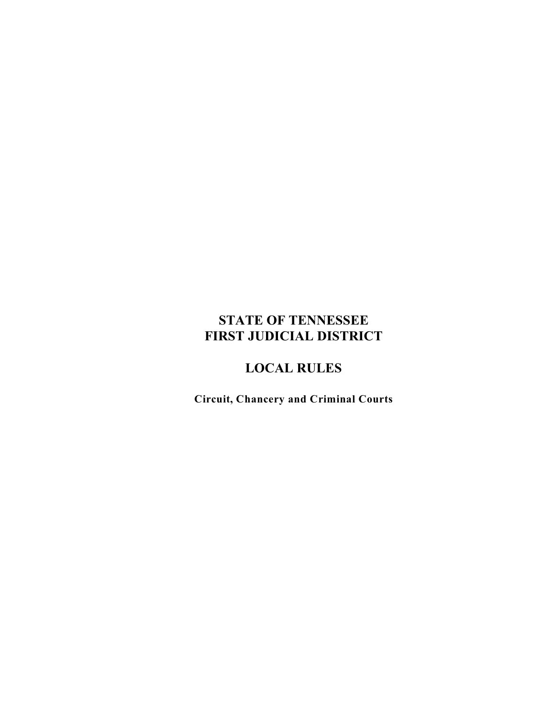# **STATE OF TENNESSEE FIRST JUDICIAL DISTRICT**

# **LOCAL RULES**

**Circuit, Chancery and Criminal Courts**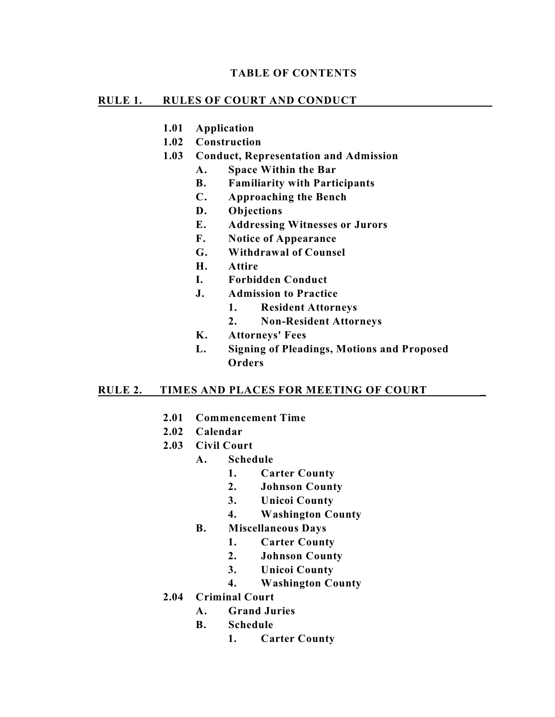### **TABLE OF CONTENTS**

#### **RULE 1. RULES OF COURT AND CONDUCT**

- **1.01 Application**
- **1.02 Construction**
- **1.03 Conduct, Representation and Admission** 
	- **A. Space Within the Bar**
	- **B. Familiarity with Participants**
	- **C. Approaching the Bench**
	- **D. Objections**
	- **E. Addressing Witnesses or Jurors**
	- **F. Notice of Appearance**
	- **G. Withdrawal of Counsel**
	- **H. Attire**
	- **I. Forbidden Conduct**
	- **J. Admission to Practice**
		- **1. Resident Attorneys**
		- **2. Non-Resident Attorneys**
	- **K. Attorneys' Fees**
	- **L. Signing of Pleadings, Motions and Proposed Orders**

### **RULE 2. TIMES AND PLACES FOR MEETING OF COURT \_**

- **2.01 Commencement Time**
- **2.02 Calendar**
- **2.03 Civil Court**
	- **A. Schedule**
		- **1. Carter County**
		- **2. Johnson County**
		- **3. Unicoi County**
		- **4. Washington County**
	- **B. Miscellaneous Days**
		- **1. Carter County**
		- **2. Johnson County**
		- **3. Unicoi County**
		- **4. Washington County**
- **2.04 Criminal Court**
	- **A. Grand Juries**
	- **B. Schedule**
		- **1. Carter County**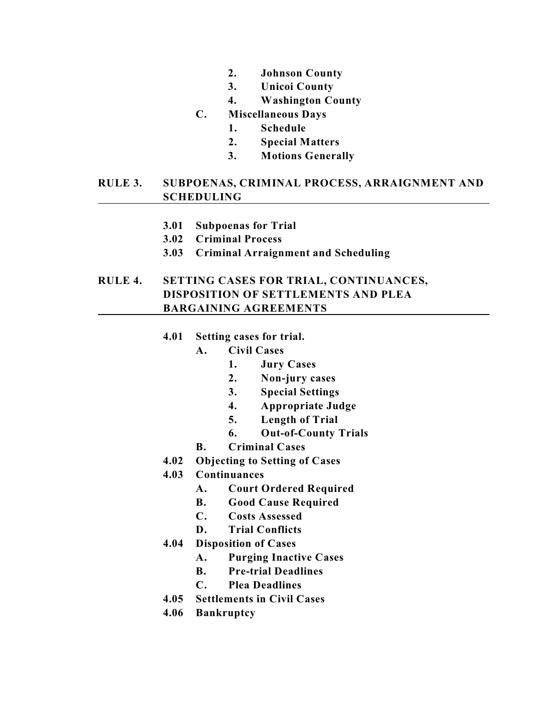- **2. Johnson County**
- **3. Unicoi County**
- **4. Washington County**
- **C. Miscellaneous Days**
	- **1. Schedule**
	- **2. Special Matters**
	- **3. Motions Generally**

# **RULE 3. SUBPOENAS, CRIMINAL PROCESS, ARRAIGNMENT AND SCHEDULING**

- **3.01 Subpoenas for Trial**
- **3.02 Criminal Process**
- **3.03 Criminal Arraignment and Scheduling**

# **RULE 4. SETTING CASES FOR TRIAL, CONTINUANCES, DISPOSITION OF SETTLEMENTS AND PLEA BARGAINING AGREEMENTS**

- **4.01 Setting cases for trial.**
	- **A. Civil Cases**
		- **1. Jury Cases**
		- **2. Non-jury cases**
		- **3. Special Settings**
		- **4. Appropriate Judge**
		- **5. Length of Trial**
		- **6. Out-of-County Trials**
	- **B. Criminal Cases**
- **4.02 Objecting to Setting of Cases**
- **4.03 Continuances**
	- **A. Court Ordered Required**
	- **B. Good Cause Required**
	- **C. Costs Assessed**
	- **D. Trial Conflicts**
- **4.04 Disposition of Cases**
	- **A. Purging Inactive Cases**
	- **B. Pre-trial Deadlines**
	- **C. Plea Deadlines**
- **4.05 Settlements in Civil Cases**
- **4.06 Bankruptcy**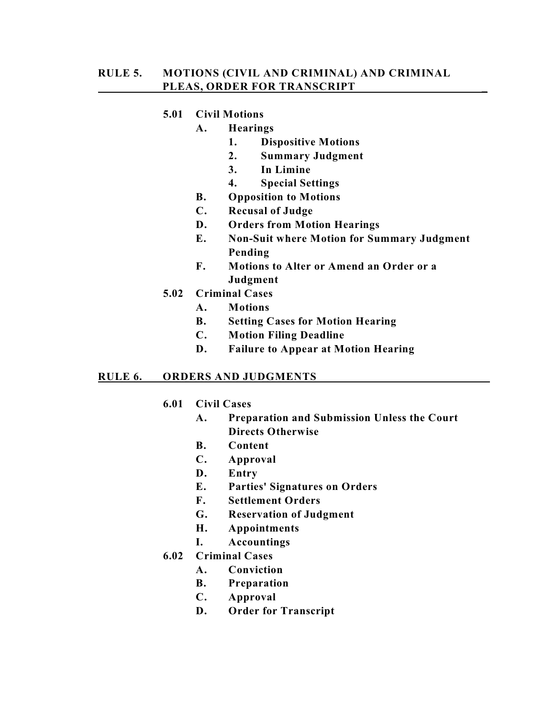# **5.01 Civil Motions**

### **A. Hearings**

- **1. Dispositive Motions**
- **2. Summary Judgment**
- **3. In Limine**
- **4. Special Settings**
- **B. Opposition to Motions**
- **C. Recusal of Judge**
- **D. Orders from Motion Hearings**
- **E. Non-Suit where Motion for Summary Judgment Pending**
- **F. Motions to Alter or Amend an Order or a Judgment**
- **5.02 Criminal Cases**
	- **A. Motions**
	- **B. Setting Cases for Motion Hearing**
	- **C. Motion Filing Deadline**
	- **D. Failure to Appear at Motion Hearing**

### **RULE 6. ORDERS AND JUDGMENTS \_\_**

# **6.01 Civil Cases**

- **A. Preparation and Submission Unless the Court Directs Otherwise**
- **B. Content**
- **C. Approval**
- **D. Entry**
- **E. Parties' Signatures on Orders**
- **F. Settlement Orders**
- **G. Reservation of Judgment**
- **H. Appointments**
- **I. Accountings**
- **6.02 Criminal Cases**
	- **A. Conviction**
	- **B. Preparation**
	- **C. Approval**
	- **D. Order for Transcript**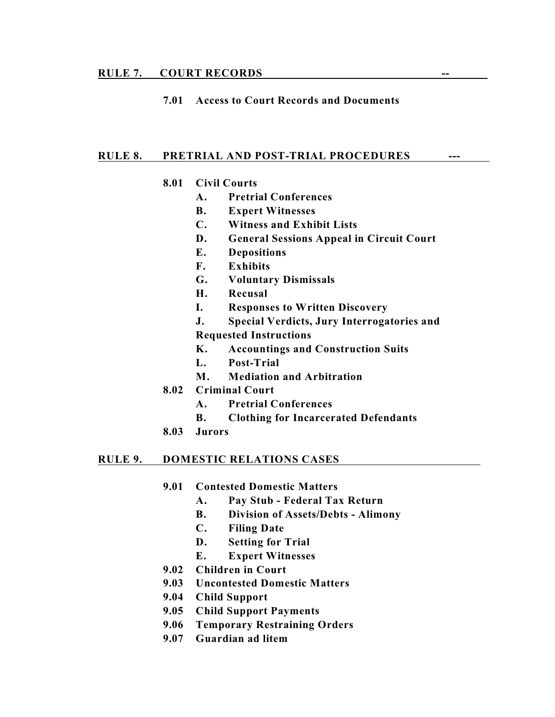#### **RULE 7. COURT RECORDS --**

### **7.01 Access to Court Records and Documents**

#### **RULE 8. PRETRIAL AND POST-TRIAL PROCEDURES ---**

#### **8.01 Civil Courts**

- **A. Pretrial Conferences**
- **B. Expert Witnesses**
- **C. Witness and Exhibit Lists**
- **D. General Sessions Appeal in Circuit Court**
- **E. Depositions**
- **F. Exhibits**
- **G. Voluntary Dismissals**
- **H. Recusal**
- **I. Responses to Written Discovery**
- **J. Special Verdicts, Jury Interrogatories and**

**Requested Instructions**

- **K. Accountings and Construction Suits**
- **L. Post-Trial**
- **M. Mediation and Arbitration**
- **8.02 Criminal Court**
	- **A. Pretrial Conferences**
	- **B. Clothing for Incarcerated Defendants**
- **8.03 Jurors**

#### **RULE 9. DOMESTIC RELATIONS CASES**

- **9.01 Contested Domestic Matters**
	- **A. Pay Stub Federal Tax Return**
	- **B. Division of Assets/Debts Alimony**
	- **C. Filing Date**
	- **D. Setting for Trial**
	- **E. Expert Witnesses**
- **9.02 Children in Court**
- **9.03 Uncontested Domestic Matters**
- **9.04 Child Support**
- **9.05 Child Support Payments**
- **9.06 Temporary Restraining Orders**
- **9.07 Guardian ad litem**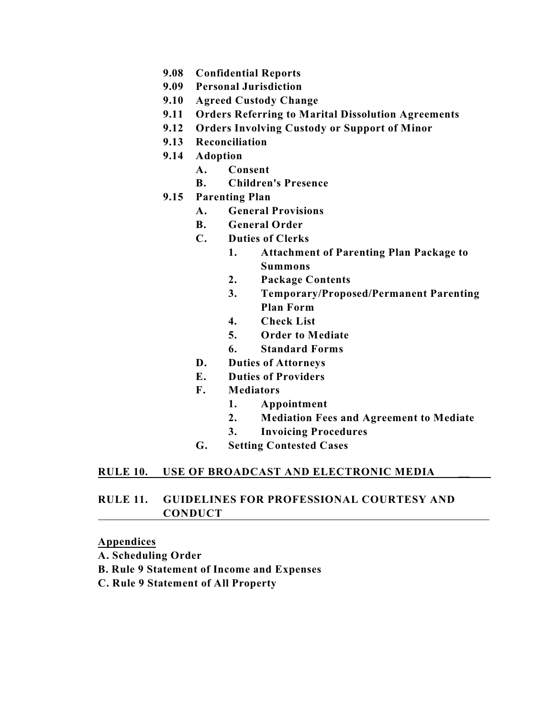- **9.08 Confidential Reports**
- **9.09 Personal Jurisdiction**
- **9.10 Agreed Custody Change**
- **9.11 Orders Referring to Marital Dissolution Agreements**
- **9.12 Orders Involving Custody or Support of Minor**
- **9.13 Reconciliation**
- **9.14 Adoption**
	- **A. Consent**
	- **B. Children's Presence**
- **9.15 Parenting Plan**
	- **A. General Provisions**
	- **B. General Order**
	- **C. Duties of Clerks**
		- **1. Attachment of Parenting Plan Package to Summons**
		- **2. Package Contents**
		- **3. Temporary/Proposed/Permanent Parenting Plan Form**
		- **4. Check List**
		- **5. Order to Mediate**
		- **6. Standard Forms**
	- **D. Duties of Attorneys**
	- **E. Duties of Providers**
	- **F. Mediators**
		- **1. Appointment**
		- **2. Mediation Fees and Agreement to Mediate**
		- **3. Invoicing Procedures**
	- **G. Setting Contested Cases**

# **RULE 10. USE OF BROADCAST AND ELECTRONIC MEDIA \_\_**

# **RULE 11. GUIDELINES FOR PROFESSIONAL COURTESY AND CONDUCT**

### **Appendices**

- **A. Scheduling Order**
- **B. Rule 9 Statement of Income and Expenses**
- **C. Rule 9 Statement of All Property**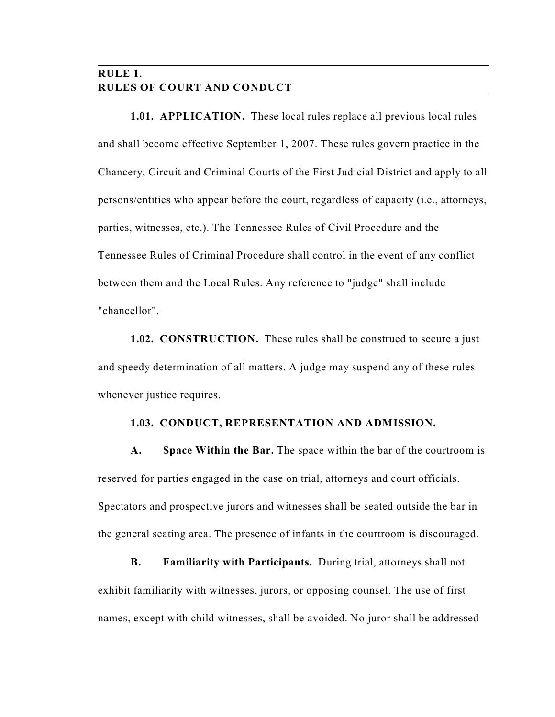# **RULE 1. RULES OF COURT AND CONDUCT**

**1.01. APPLICATION.** These local rules replace all previous local rules and shall become effective September 1, 2007. These rules govern practice in the Chancery, Circuit and Criminal Courts of the First Judicial District and apply to all persons/entities who appear before the court, regardless of capacity (i.e., attorneys, parties, witnesses, etc.). The Tennessee Rules of Civil Procedure and the Tennessee Rules of Criminal Procedure shall control in the event of any conflict between them and the Local Rules. Any reference to "judge" shall include "chancellor".

**1.02. CONSTRUCTION.** These rules shall be construed to secure a just and speedy determination of all matters. A judge may suspend any of these rules whenever justice requires.

### **1.03. CONDUCT, REPRESENTATION AND ADMISSION.**

**A. Space Within the Bar.** The space within the bar of the courtroom is reserved for parties engaged in the case on trial, attorneys and court officials. Spectators and prospective jurors and witnesses shall be seated outside the bar in the general seating area. The presence of infants in the courtroom is discouraged.

**B. Familiarity with Participants.** During trial, attorneys shall not exhibit familiarity with witnesses, jurors, or opposing counsel. The use of first names, except with child witnesses, shall be avoided. No juror shall be addressed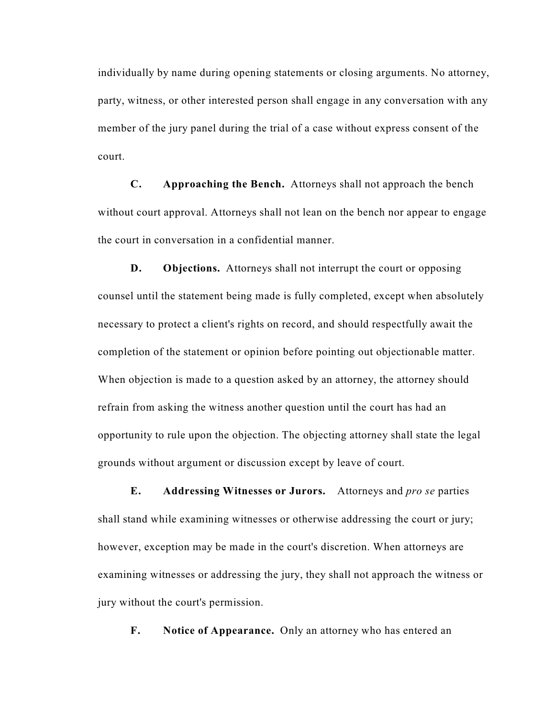individually by name during opening statements or closing arguments. No attorney, party, witness, or other interested person shall engage in any conversation with any member of the jury panel during the trial of a case without express consent of the court.

**C. Approaching the Bench.** Attorneys shall not approach the bench without court approval. Attorneys shall not lean on the bench nor appear to engage the court in conversation in a confidential manner.

**D.** Objections. Attorneys shall not interrupt the court or opposing counsel until the statement being made is fully completed, except when absolutely necessary to protect a client's rights on record, and should respectfully await the completion of the statement or opinion before pointing out objectionable matter. When objection is made to a question asked by an attorney, the attorney should refrain from asking the witness another question until the court has had an opportunity to rule upon the objection. The objecting attorney shall state the legal grounds without argument or discussion except by leave of court.

**E. Addressing Witnesses or Jurors.** Attorneys and *pro se* parties shall stand while examining witnesses or otherwise addressing the court or jury; however, exception may be made in the court's discretion. When attorneys are examining witnesses or addressing the jury, they shall not approach the witness or jury without the court's permission.

**F. Notice of Appearance.** Only an attorney who has entered an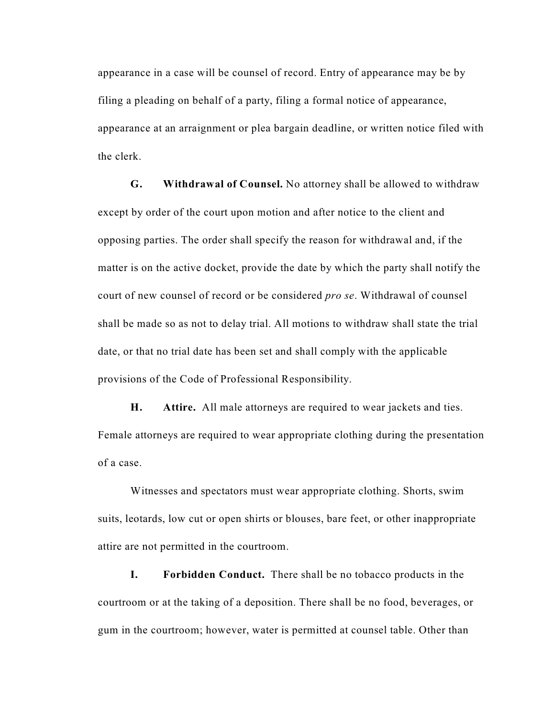appearance in a case will be counsel of record. Entry of appearance may be by filing a pleading on behalf of a party, filing a formal notice of appearance, appearance at an arraignment or plea bargain deadline, or written notice filed with the clerk.

**G. Withdrawal of Counsel.** No attorney shall be allowed to withdraw except by order of the court upon motion and after notice to the client and opposing parties. The order shall specify the reason for withdrawal and, if the matter is on the active docket, provide the date by which the party shall notify the court of new counsel of record or be considered *pro se*. Withdrawal of counsel shall be made so as not to delay trial. All motions to withdraw shall state the trial date, or that no trial date has been set and shall comply with the applicable provisions of the Code of Professional Responsibility.

**H. Attire.** All male attorneys are required to wear jackets and ties. Female attorneys are required to wear appropriate clothing during the presentation of a case.

Witnesses and spectators must wear appropriate clothing. Shorts, swim suits, leotards, low cut or open shirts or blouses, bare feet, or other inappropriate attire are not permitted in the courtroom.

**I. Forbidden Conduct.** There shall be no tobacco products in the courtroom or at the taking of a deposition. There shall be no food, beverages, or gum in the courtroom; however, water is permitted at counsel table. Other than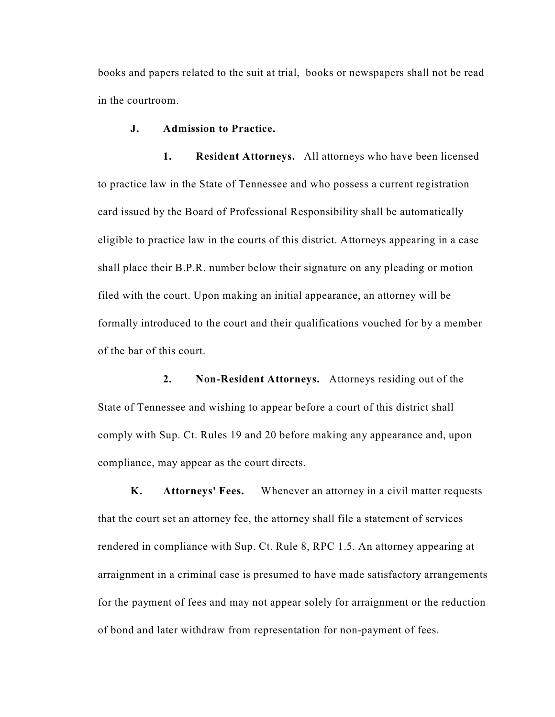books and papers related to the suit at trial, books or newspapers shall not be read in the courtroom.

#### **J. Admission to Practice.**

**1. Resident Attorneys.** All attorneys who have been licensed to practice law in the State of Tennessee and who possess a current registration card issued by the Board of Professional Responsibility shall be automatically eligible to practice law in the courts of this district. Attorneys appearing in a case shall place their B.P.R. number below their signature on any pleading or motion filed with the court. Upon making an initial appearance, an attorney will be formally introduced to the court and their qualifications vouched for by a member of the bar of this court.

**2. Non-Resident Attorneys.** Attorneys residing out of the State of Tennessee and wishing to appear before a court of this district shall comply with Sup. Ct. Rules 19 and 20 before making any appearance and, upon compliance, may appear as the court directs.

**K. Attorneys' Fees.** Whenever an attorney in a civil matter requests that the court set an attorney fee, the attorney shall file a statement of services rendered in compliance with Sup. Ct. Rule 8, RPC 1.5. An attorney appearing at arraignment in a criminal case is presumed to have made satisfactory arrangements for the payment of fees and may not appear solely for arraignment or the reduction of bond and later withdraw from representation for non-payment of fees.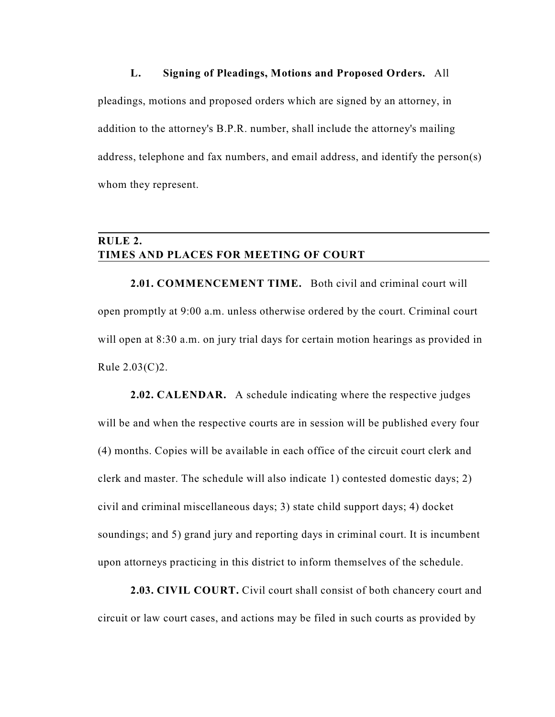#### **L. Signing of Pleadings, Motions and Proposed Orders.** All

pleadings, motions and proposed orders which are signed by an attorney, in addition to the attorney's B.P.R. number, shall include the attorney's mailing address, telephone and fax numbers, and email address, and identify the person(s) whom they represent.

# **RULE 2. TIMES AND PLACES FOR MEETING OF COURT**

**2.01. COMMENCEMENT TIME.** Both civil and criminal court will open promptly at 9:00 a.m. unless otherwise ordered by the court. Criminal court will open at 8:30 a.m. on jury trial days for certain motion hearings as provided in Rule 2.03(C)2.

**2.02. CALENDAR.** A schedule indicating where the respective judges will be and when the respective courts are in session will be published every four (4) months. Copies will be available in each office of the circuit court clerk and clerk and master. The schedule will also indicate 1) contested domestic days; 2) civil and criminal miscellaneous days; 3) state child support days; 4) docket soundings; and 5) grand jury and reporting days in criminal court. It is incumbent upon attorneys practicing in this district to inform themselves of the schedule.

**2.03. CIVIL COURT.** Civil court shall consist of both chancery court and circuit or law court cases, and actions may be filed in such courts as provided by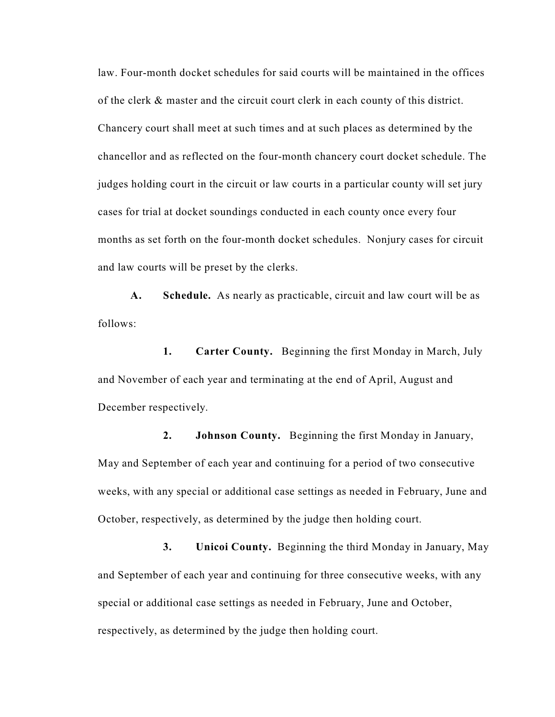law. Four-month docket schedules for said courts will be maintained in the offices of the clerk & master and the circuit court clerk in each county of this district. Chancery court shall meet at such times and at such places as determined by the chancellor and as reflected on the four-month chancery court docket schedule. The judges holding court in the circuit or law courts in a particular county will set jury cases for trial at docket soundings conducted in each county once every four months as set forth on the four-month docket schedules. Nonjury cases for circuit and law courts will be preset by the clerks.

**A. Schedule.** As nearly as practicable, circuit and law court will be as follows:

**1. Carter County.** Beginning the first Monday in March, July and November of each year and terminating at the end of April, August and December respectively.

**2. Johnson County.** Beginning the first Monday in January, May and September of each year and continuing for a period of two consecutive weeks, with any special or additional case settings as needed in February, June and October, respectively, as determined by the judge then holding court.

**3. Unicoi County.** Beginning the third Monday in January, May and September of each year and continuing for three consecutive weeks, with any special or additional case settings as needed in February, June and October, respectively, as determined by the judge then holding court.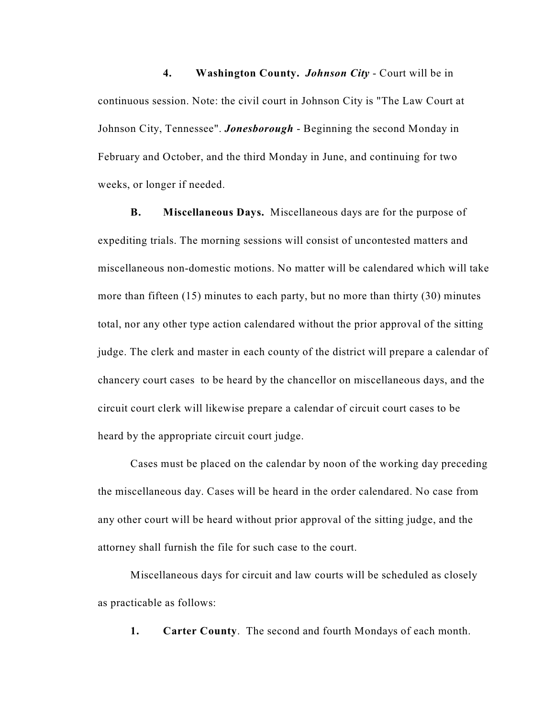**4. Washington County.** *Johnson City* - Court will be in continuous session. Note: the civil court in Johnson City is "The Law Court at Johnson City, Tennessee". *Jonesborough* - Beginning the second Monday in February and October, and the third Monday in June, and continuing for two weeks, or longer if needed.

**B. Miscellaneous Days.** Miscellaneous days are for the purpose of expediting trials. The morning sessions will consist of uncontested matters and miscellaneous non-domestic motions. No matter will be calendared which will take more than fifteen (15) minutes to each party, but no more than thirty (30) minutes total, nor any other type action calendared without the prior approval of the sitting judge. The clerk and master in each county of the district will prepare a calendar of chancery court cases to be heard by the chancellor on miscellaneous days, and the circuit court clerk will likewise prepare a calendar of circuit court cases to be heard by the appropriate circuit court judge.

Cases must be placed on the calendar by noon of the working day preceding the miscellaneous day. Cases will be heard in the order calendared. No case from any other court will be heard without prior approval of the sitting judge, and the attorney shall furnish the file for such case to the court.

Miscellaneous days for circuit and law courts will be scheduled as closely as practicable as follows:

**1. Carter County**. The second and fourth Mondays of each month.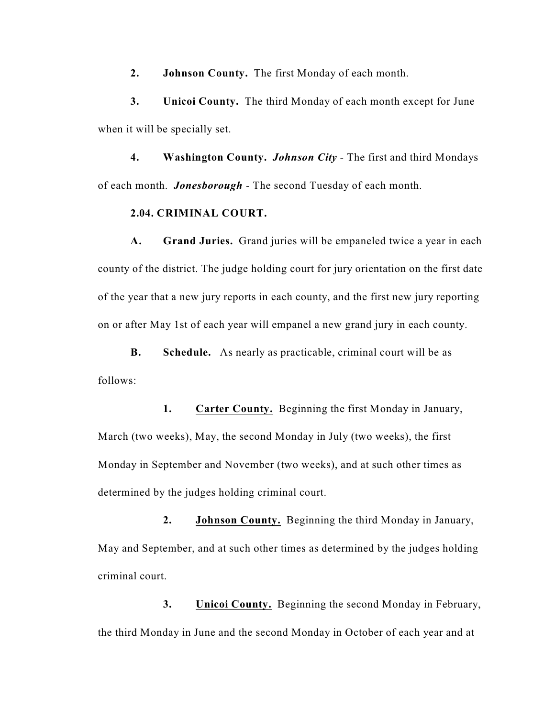**2. Johnson County.** The first Monday of each month.

**3. Unicoi County.** The third Monday of each month except for June when it will be specially set.

**4. Washington County.** *Johnson City* - The first and third Mondays of each month. *Jonesborough* - The second Tuesday of each month.

#### **2.04. CRIMINAL COURT.**

**A. Grand Juries.** Grand juries will be empaneled twice a year in each county of the district. The judge holding court for jury orientation on the first date of the year that a new jury reports in each county, and the first new jury reporting on or after May 1st of each year will empanel a new grand jury in each county.

**B. Schedule.** As nearly as practicable, criminal court will be as follows:

**1. Carter County.** Beginning the first Monday in January, March (two weeks), May, the second Monday in July (two weeks), the first Monday in September and November (two weeks), and at such other times as determined by the judges holding criminal court.

**2. Johnson County.** Beginning the third Monday in January, May and September, and at such other times as determined by the judges holding criminal court.

**3. Unicoi County.** Beginning the second Monday in February, the third Monday in June and the second Monday in October of each year and at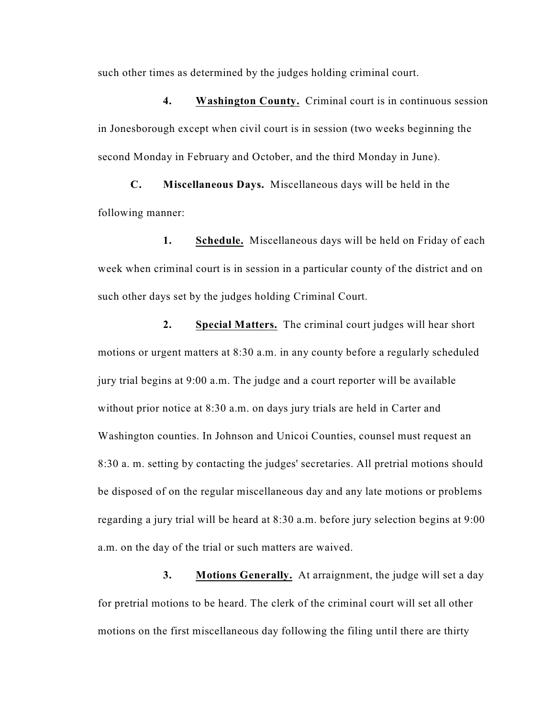such other times as determined by the judges holding criminal court.

**4. Washington County.** Criminal court is in continuous session in Jonesborough except when civil court is in session (two weeks beginning the second Monday in February and October, and the third Monday in June).

**C. Miscellaneous Days.** Miscellaneous days will be held in the following manner:

**1. Schedule.** Miscellaneous days will be held on Friday of each week when criminal court is in session in a particular county of the district and on such other days set by the judges holding Criminal Court.

**2. Special Matters.** The criminal court judges will hear short motions or urgent matters at 8:30 a.m. in any county before a regularly scheduled jury trial begins at 9:00 a.m. The judge and a court reporter will be available without prior notice at 8:30 a.m. on days jury trials are held in Carter and Washington counties. In Johnson and Unicoi Counties, counsel must request an 8:30 a. m. setting by contacting the judges' secretaries. All pretrial motions should be disposed of on the regular miscellaneous day and any late motions or problems regarding a jury trial will be heard at 8:30 a.m. before jury selection begins at 9:00 a.m. on the day of the trial or such matters are waived.

**3. Motions Generally.** At arraignment, the judge will set a day for pretrial motions to be heard. The clerk of the criminal court will set all other motions on the first miscellaneous day following the filing until there are thirty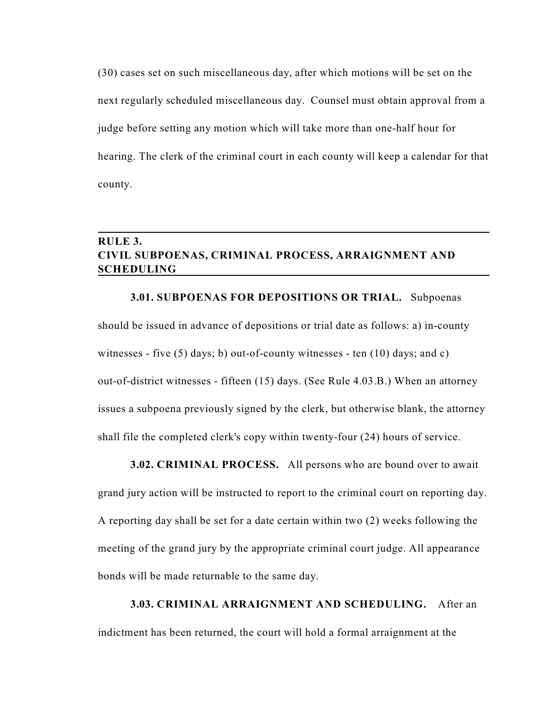(30) cases set on such miscellaneous day, after which motions will be set on the next regularly scheduled miscellaneous day. Counsel must obtain approval from a judge before setting any motion which will take more than one-half hour for hearing. The clerk of the criminal court in each county will keep a calendar for that county.

# **RULE 3. CIVIL SUBPOENAS, CRIMINAL PROCESS, ARRAIGNMENT AND SCHEDULING**

**3.01. SUBPOENAS FOR DEPOSITIONS OR TRIAL.** Subpoenas should be issued in advance of depositions or trial date as follows: a) in-county witnesses - five (5) days; b) out-of-county witnesses - ten  $(10)$  days; and c) out-of-district witnesses - fifteen (15) days. (See Rule 4.03.B.) When an attorney issues a subpoena previously signed by the clerk, but otherwise blank, the attorney shall file the completed clerk's copy within twenty-four (24) hours of service.

### **3.02. CRIMINAL PROCESS.** All persons who are bound over to await

grand jury action will be instructed to report to the criminal court on reporting day. A reporting day shall be set for a date certain within two (2) weeks following the meeting of the grand jury by the appropriate criminal court judge. All appearance bonds will be made returnable to the same day.

**3.03. CRIMINAL ARRAIGNMENT AND SCHEDULING.** After an indictment has been returned, the court will hold a formal arraignment at the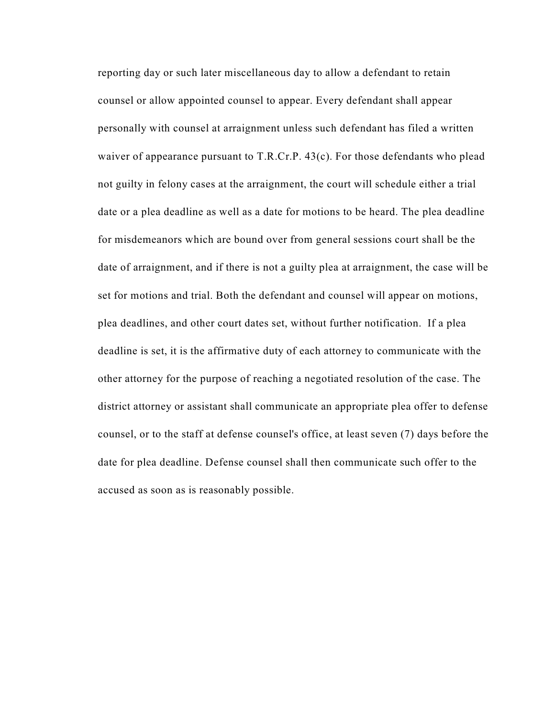reporting day or such later miscellaneous day to allow a defendant to retain counsel or allow appointed counsel to appear. Every defendant shall appear personally with counsel at arraignment unless such defendant has filed a written waiver of appearance pursuant to T.R.Cr.P. 43(c). For those defendants who plead not guilty in felony cases at the arraignment, the court will schedule either a trial date or a plea deadline as well as a date for motions to be heard. The plea deadline for misdemeanors which are bound over from general sessions court shall be the date of arraignment, and if there is not a guilty plea at arraignment, the case will be set for motions and trial. Both the defendant and counsel will appear on motions, plea deadlines, and other court dates set, without further notification. If a plea deadline is set, it is the affirmative duty of each attorney to communicate with the other attorney for the purpose of reaching a negotiated resolution of the case. The district attorney or assistant shall communicate an appropriate plea offer to defense counsel, or to the staff at defense counsel's office, at least seven (7) days before the date for plea deadline. Defense counsel shall then communicate such offer to the accused as soon as is reasonably possible.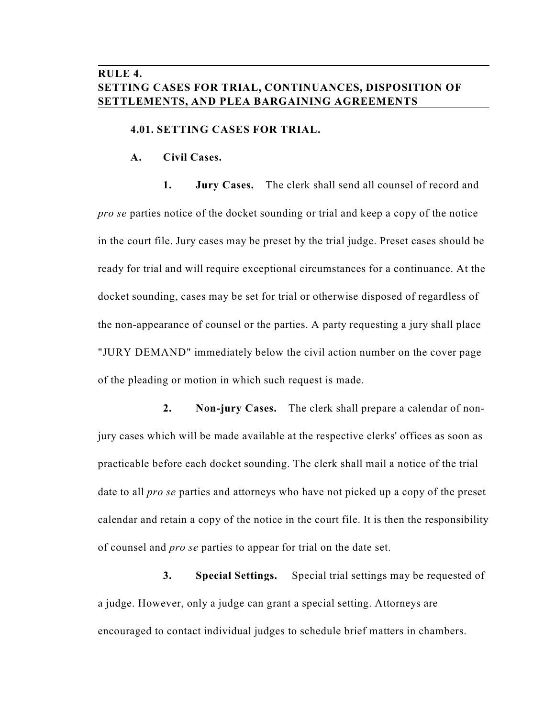# **RULE 4. SETTING CASES FOR TRIAL, CONTINUANCES, DISPOSITION OF SETTLEMENTS, AND PLEA BARGAINING AGREEMENTS**

#### **4.01. SETTING CASES FOR TRIAL.**

**A. Civil Cases.**

**1. Jury Cases.** The clerk shall send all counsel of record and *pro se* parties notice of the docket sounding or trial and keep a copy of the notice in the court file. Jury cases may be preset by the trial judge. Preset cases should be ready for trial and will require exceptional circumstances for a continuance. At the docket sounding, cases may be set for trial or otherwise disposed of regardless of the non-appearance of counsel or the parties. A party requesting a jury shall place "JURY DEMAND" immediately below the civil action number on the cover page of the pleading or motion in which such request is made.

**2. Non-jury Cases.** The clerk shall prepare a calendar of nonjury cases which will be made available at the respective clerks' offices as soon as practicable before each docket sounding. The clerk shall mail a notice of the trial date to all *pro se* parties and attorneys who have not picked up a copy of the preset calendar and retain a copy of the notice in the court file. It is then the responsibility of counsel and *pro se* parties to appear for trial on the date set.

**3. Special Settings.** Special trial settings may be requested of a judge. However, only a judge can grant a special setting. Attorneys are encouraged to contact individual judges to schedule brief matters in chambers.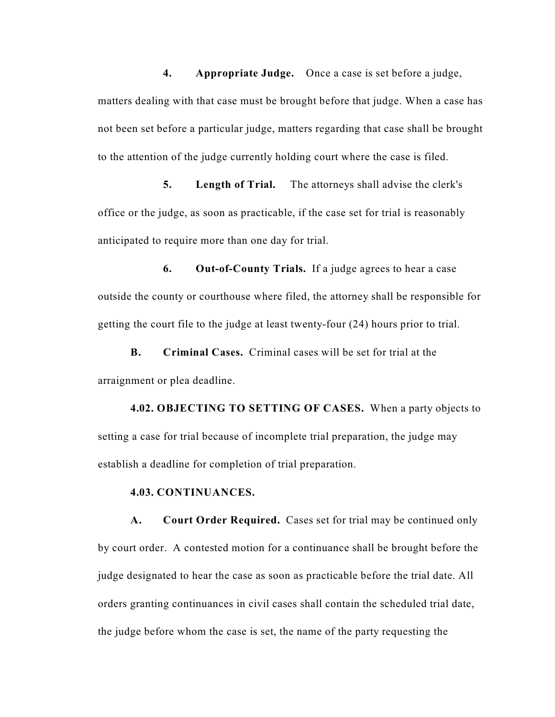**4. Appropriate Judge.** Once a case is set before a judge, matters dealing with that case must be brought before that judge. When a case has not been set before a particular judge, matters regarding that case shall be brought to the attention of the judge currently holding court where the case is filed.

**5. Length of Trial.** The attorneys shall advise the clerk's office or the judge, as soon as practicable, if the case set for trial is reasonably anticipated to require more than one day for trial.

**6. Out-of-County Trials.** If a judge agrees to hear a case outside the county or courthouse where filed, the attorney shall be responsible for getting the court file to the judge at least twenty-four (24) hours prior to trial.

**B. Criminal Cases.** Criminal cases will be set for trial at the arraignment or plea deadline.

**4.02. OBJECTING TO SETTING OF CASES.** When a party objects to setting a case for trial because of incomplete trial preparation, the judge may establish a deadline for completion of trial preparation.

#### **4.03. CONTINUANCES.**

**A. Court Order Required.** Cases set for trial may be continued only by court order. A contested motion for a continuance shall be brought before the judge designated to hear the case as soon as practicable before the trial date. All orders granting continuances in civil cases shall contain the scheduled trial date, the judge before whom the case is set, the name of the party requesting the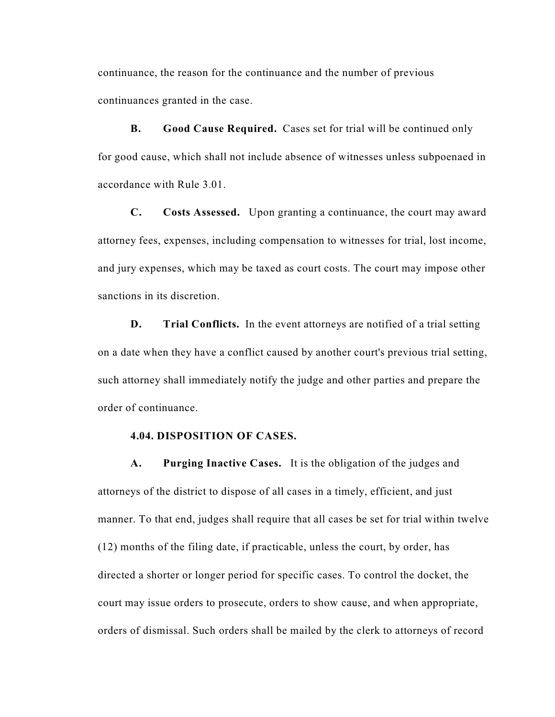continuance, the reason for the continuance and the number of previous continuances granted in the case.

**B. Good Cause Required.** Cases set for trial will be continued only for good cause, which shall not include absence of witnesses unless subpoenaed in accordance with Rule 3.01.

**C. Costs Assessed.** Upon granting a continuance, the court may award attorney fees, expenses, including compensation to witnesses for trial, lost income, and jury expenses, which may be taxed as court costs. The court may impose other sanctions in its discretion.

**D. Trial Conflicts.** In the event attorneys are notified of a trial setting on a date when they have a conflict caused by another court's previous trial setting, such attorney shall immediately notify the judge and other parties and prepare the order of continuance.

### **4.04. DISPOSITION OF CASES.**

**A. Purging Inactive Cases.** It is the obligation of the judges and attorneys of the district to dispose of all cases in a timely, efficient, and just manner. To that end, judges shall require that all cases be set for trial within twelve (12) months of the filing date, if practicable, unless the court, by order, has directed a shorter or longer period for specific cases. To control the docket, the court may issue orders to prosecute, orders to show cause, and when appropriate, orders of dismissal. Such orders shall be mailed by the clerk to attorneys of record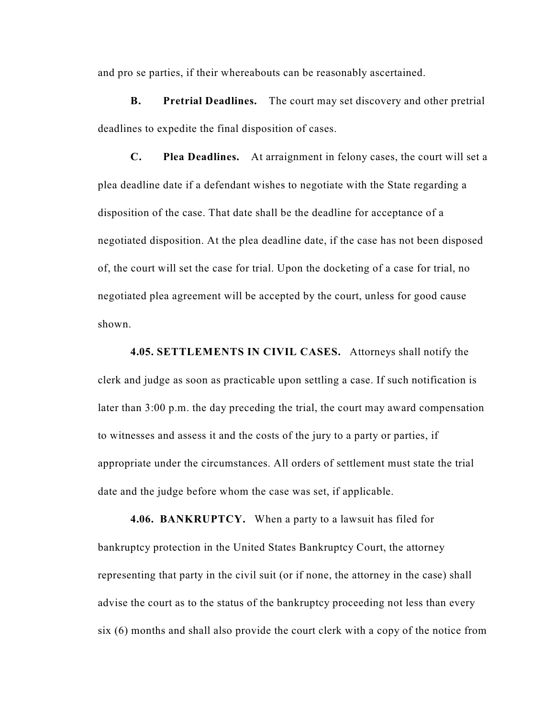and pro se parties, if their whereabouts can be reasonably ascertained.

**B. Pretrial Deadlines.** The court may set discovery and other pretrial deadlines to expedite the final disposition of cases.

**C. Plea Deadlines.** At arraignment in felony cases, the court will set a plea deadline date if a defendant wishes to negotiate with the State regarding a disposition of the case. That date shall be the deadline for acceptance of a negotiated disposition. At the plea deadline date, if the case has not been disposed of, the court will set the case for trial. Upon the docketing of a case for trial, no negotiated plea agreement will be accepted by the court, unless for good cause shown.

**4.05. SETTLEMENTS IN CIVIL CASES.** Attorneys shall notify the clerk and judge as soon as practicable upon settling a case. If such notification is later than 3:00 p.m. the day preceding the trial, the court may award compensation to witnesses and assess it and the costs of the jury to a party or parties, if appropriate under the circumstances. All orders of settlement must state the trial date and the judge before whom the case was set, if applicable.

**4.06. BANKRUPTCY.** When a party to a lawsuit has filed for bankruptcy protection in the United States Bankruptcy Court, the attorney representing that party in the civil suit (or if none, the attorney in the case) shall advise the court as to the status of the bankruptcy proceeding not less than every six (6) months and shall also provide the court clerk with a copy of the notice from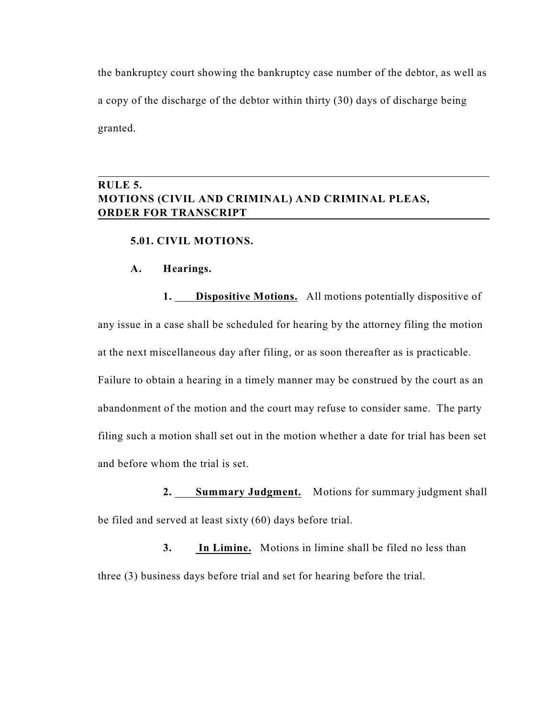the bankruptcy court showing the bankruptcy case number of the debtor, as well as a copy of the discharge of the debtor within thirty (30) days of discharge being granted.

# **RULE 5. MOTIONS (CIVIL AND CRIMINAL) AND CRIMINAL PLEAS, ORDER FOR TRANSCRIPT**

### **5.01. CIVIL MOTIONS.**

### **A. Hearings.**

**1. Dispositive Motions.** All motions potentially dispositive of any issue in a case shall be scheduled for hearing by the attorney filing the motion at the next miscellaneous day after filing, or as soon thereafter as is practicable. Failure to obtain a hearing in a timely manner may be construed by the court as an abandonment of the motion and the court may refuse to consider same. The party filing such a motion shall set out in the motion whether a date for trial has been set and before whom the trial is set.

2. Summary Judgment. Motions for summary judgment shall be filed and served at least sixty (60) days before trial.

**3. In Limine.** Motions in limine shall be filed no less than three (3) business days before trial and set for hearing before the trial.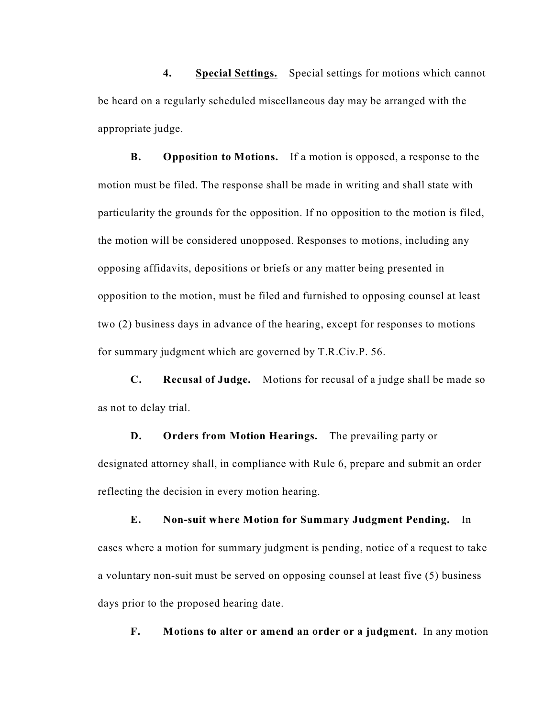**4. Special Settings.** Special settings for motions which cannot be heard on a regularly scheduled miscellaneous day may be arranged with the appropriate judge.

**B. Opposition to Motions.** If a motion is opposed, a response to the motion must be filed. The response shall be made in writing and shall state with particularity the grounds for the opposition. If no opposition to the motion is filed, the motion will be considered unopposed. Responses to motions, including any opposing affidavits, depositions or briefs or any matter being presented in opposition to the motion, must be filed and furnished to opposing counsel at least two (2) business days in advance of the hearing, except for responses to motions for summary judgment which are governed by T.R.Civ.P. 56.

**C. Recusal of Judge.** Motions for recusal of a judge shall be made so as not to delay trial.

**D. Orders from Motion Hearings.** The prevailing party or designated attorney shall, in compliance with Rule 6, prepare and submit an order reflecting the decision in every motion hearing.

**E. Non-suit where Motion for Summary Judgment Pending.** In cases where a motion for summary judgment is pending, notice of a request to take a voluntary non-suit must be served on opposing counsel at least five (5) business days prior to the proposed hearing date.

**F. Motions to alter or amend an order or a judgment.** In any motion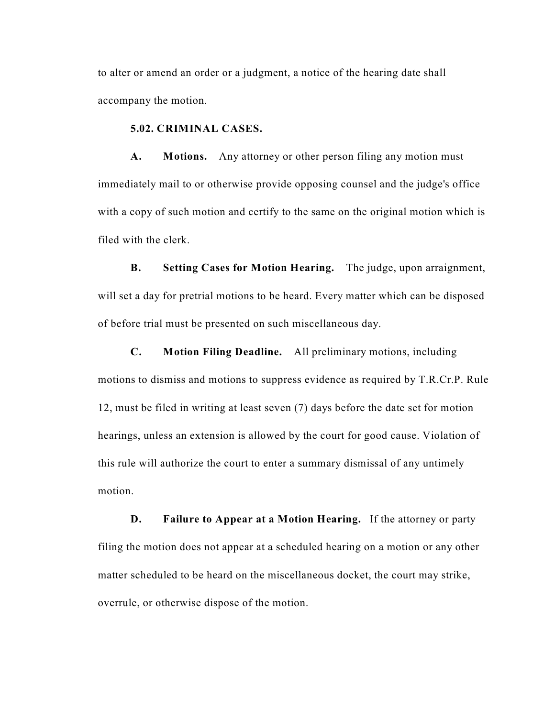to alter or amend an order or a judgment, a notice of the hearing date shall accompany the motion.

### **5.02. CRIMINAL CASES.**

**A. Motions.** Any attorney or other person filing any motion must immediately mail to or otherwise provide opposing counsel and the judge's office with a copy of such motion and certify to the same on the original motion which is filed with the clerk.

**B. Setting Cases for Motion Hearing.** The judge, upon arraignment, will set a day for pretrial motions to be heard. Every matter which can be disposed of before trial must be presented on such miscellaneous day.

**C. Motion Filing Deadline.** All preliminary motions, including motions to dismiss and motions to suppress evidence as required by T.R.Cr.P. Rule 12, must be filed in writing at least seven (7) days before the date set for motion hearings, unless an extension is allowed by the court for good cause. Violation of this rule will authorize the court to enter a summary dismissal of any untimely motion.

**D. Failure to Appear at a Motion Hearing.** If the attorney or party filing the motion does not appear at a scheduled hearing on a motion or any other matter scheduled to be heard on the miscellaneous docket, the court may strike, overrule, or otherwise dispose of the motion.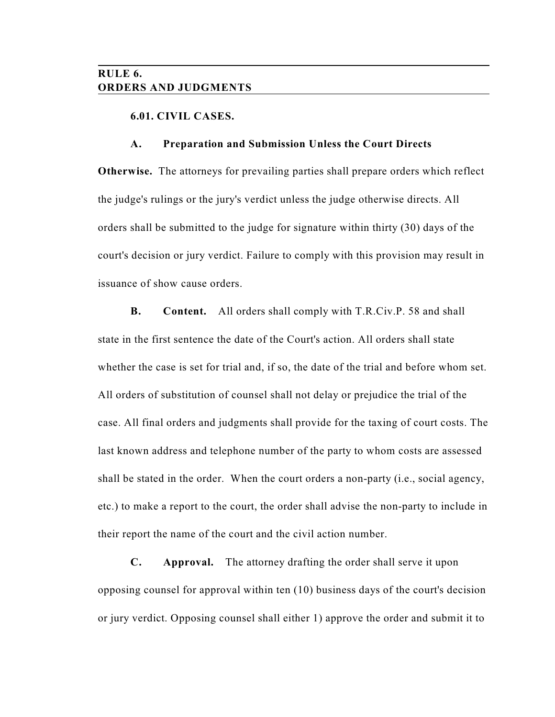# **RULE 6. ORDERS AND JUDGMENTS**

### **6.01. CIVIL CASES.**

#### **A. Preparation and Submission Unless the Court Directs**

**Otherwise.** The attorneys for prevailing parties shall prepare orders which reflect the judge's rulings or the jury's verdict unless the judge otherwise directs. All orders shall be submitted to the judge for signature within thirty (30) days of the court's decision or jury verdict. Failure to comply with this provision may result in issuance of show cause orders.

**B. Content.** All orders shall comply with T.R.Civ.P. 58 and shall state in the first sentence the date of the Court's action. All orders shall state whether the case is set for trial and, if so, the date of the trial and before whom set. All orders of substitution of counsel shall not delay or prejudice the trial of the case. All final orders and judgments shall provide for the taxing of court costs. The last known address and telephone number of the party to whom costs are assessed shall be stated in the order. When the court orders a non-party (i.e., social agency, etc.) to make a report to the court, the order shall advise the non-party to include in their report the name of the court and the civil action number.

**C. Approval.** The attorney drafting the order shall serve it upon opposing counsel for approval within ten (10) business days of the court's decision or jury verdict. Opposing counsel shall either 1) approve the order and submit it to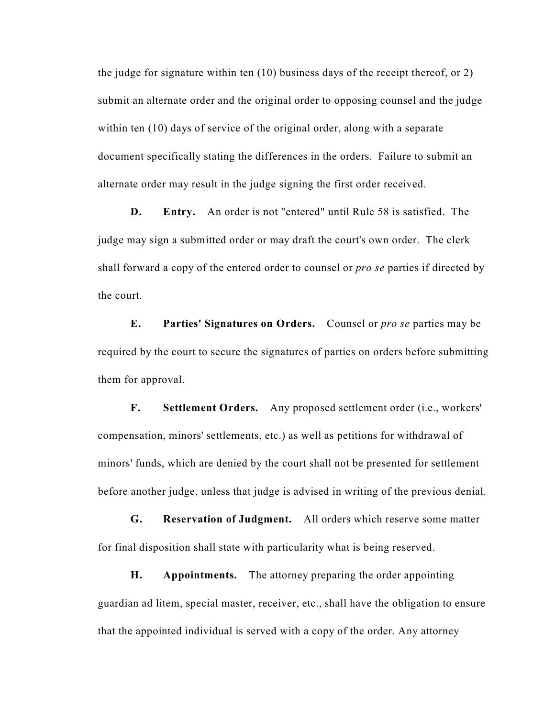the judge for signature within ten (10) business days of the receipt thereof, or 2) submit an alternate order and the original order to opposing counsel and the judge within ten (10) days of service of the original order, along with a separate document specifically stating the differences in the orders. Failure to submit an alternate order may result in the judge signing the first order received.

**D. Entry.** An order is not "entered" until Rule 58 is satisfied. The judge may sign a submitted order or may draft the court's own order. The clerk shall forward a copy of the entered order to counsel or *pro se* parties if directed by the court.

**E. Parties' Signatures on Orders.** Counsel or *pro se* parties may be required by the court to secure the signatures of parties on orders before submitting them for approval.

**F. Settlement Orders.** Any proposed settlement order (i.e., workers' compensation, minors' settlements, etc.) as well as petitions for withdrawal of minors' funds, which are denied by the court shall not be presented for settlement before another judge, unless that judge is advised in writing of the previous denial.

**G. Reservation of Judgment.** All orders which reserve some matter for final disposition shall state with particularity what is being reserved.

**H. Appointments.** The attorney preparing the order appointing guardian ad litem, special master, receiver, etc., shall have the obligation to ensure that the appointed individual is served with a copy of the order. Any attorney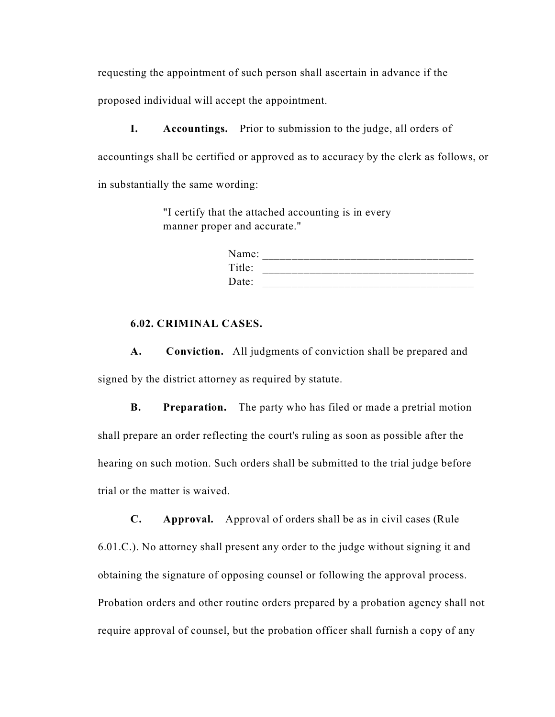requesting the appointment of such person shall ascertain in advance if the proposed individual will accept the appointment.

**I.** Accountings. Prior to submission to the judge, all orders of accountings shall be certified or approved as to accuracy by the clerk as follows, or in substantially the same wording:

> "I certify that the attached accounting is in every manner proper and accurate."

| Name:  |  |
|--------|--|
| Title: |  |
| Date:  |  |

## **6.02. CRIMINAL CASES.**

**A. Conviction.** All judgments of conviction shall be prepared and signed by the district attorney as required by statute.

**B. Preparation.** The party who has filed or made a pretrial motion shall prepare an order reflecting the court's ruling as soon as possible after the hearing on such motion. Such orders shall be submitted to the trial judge before trial or the matter is waived.

**C. Approval.** Approval of orders shall be as in civil cases (Rule 6.01.C.). No attorney shall present any order to the judge without signing it and obtaining the signature of opposing counsel or following the approval process. Probation orders and other routine orders prepared by a probation agency shall not require approval of counsel, but the probation officer shall furnish a copy of any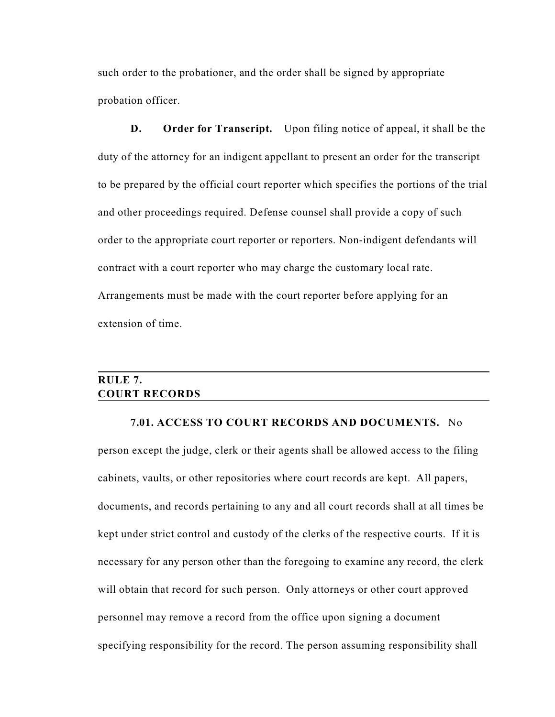such order to the probationer, and the order shall be signed by appropriate probation officer.

**D. Order for Transcript.** Upon filing notice of appeal, it shall be the duty of the attorney for an indigent appellant to present an order for the transcript to be prepared by the official court reporter which specifies the portions of the trial and other proceedings required. Defense counsel shall provide a copy of such order to the appropriate court reporter or reporters. Non-indigent defendants will contract with a court reporter who may charge the customary local rate. Arrangements must be made with the court reporter before applying for an extension of time.

# **RULE 7. COURT RECORDS**

### **7.01. ACCESS TO COURT RECORDS AND DOCUMENTS.** No

person except the judge, clerk or their agents shall be allowed access to the filing cabinets, vaults, or other repositories where court records are kept. All papers, documents, and records pertaining to any and all court records shall at all times be kept under strict control and custody of the clerks of the respective courts. If it is necessary for any person other than the foregoing to examine any record, the clerk will obtain that record for such person. Only attorneys or other court approved personnel may remove a record from the office upon signing a document specifying responsibility for the record. The person assuming responsibility shall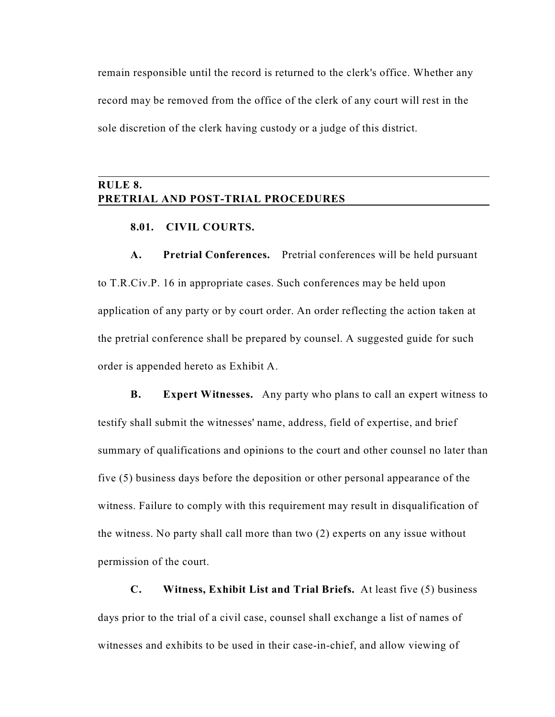remain responsible until the record is returned to the clerk's office. Whether any record may be removed from the office of the clerk of any court will rest in the sole discretion of the clerk having custody or a judge of this district.

# **RULE 8. PRETRIAL AND POST-TRIAL PROCEDURES**

### **8.01. CIVIL COURTS.**

**A. Pretrial Conferences.** Pretrial conferences will be held pursuant to T.R.Civ.P. 16 in appropriate cases. Such conferences may be held upon application of any party or by court order. An order reflecting the action taken at the pretrial conference shall be prepared by counsel. A suggested guide for such order is appended hereto as Exhibit A.

**B. Expert Witnesses.** Any party who plans to call an expert witness to testify shall submit the witnesses' name, address, field of expertise, and brief summary of qualifications and opinions to the court and other counsel no later than five (5) business days before the deposition or other personal appearance of the witness. Failure to comply with this requirement may result in disqualification of the witness. No party shall call more than two (2) experts on any issue without permission of the court.

**C. Witness, Exhibit List and Trial Briefs.** At least five (5) business days prior to the trial of a civil case, counsel shall exchange a list of names of witnesses and exhibits to be used in their case-in-chief, and allow viewing of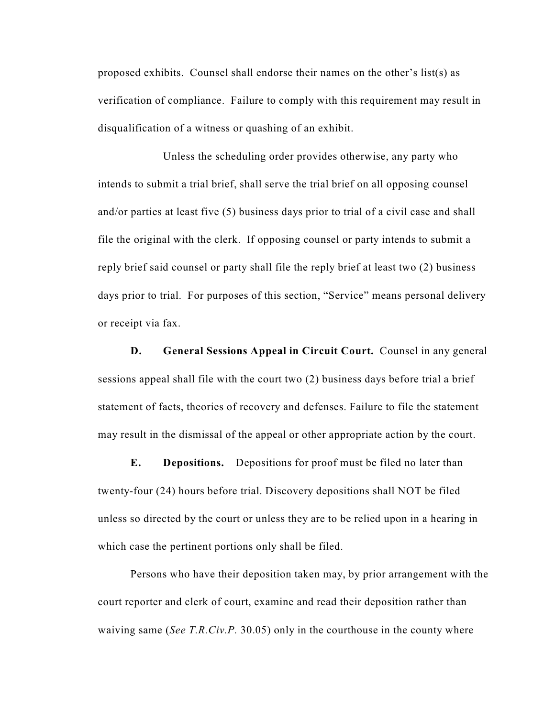proposed exhibits. Counsel shall endorse their names on the other's list(s) as verification of compliance. Failure to comply with this requirement may result in disqualification of a witness or quashing of an exhibit.

Unless the scheduling order provides otherwise, any party who intends to submit a trial brief, shall serve the trial brief on all opposing counsel and/or parties at least five (5) business days prior to trial of a civil case and shall file the original with the clerk. If opposing counsel or party intends to submit a reply brief said counsel or party shall file the reply brief at least two (2) business days prior to trial. For purposes of this section, "Service" means personal delivery or receipt via fax.

**D.** General Sessions Appeal in Circuit Court. Counsel in any general sessions appeal shall file with the court two (2) business days before trial a brief statement of facts, theories of recovery and defenses. Failure to file the statement may result in the dismissal of the appeal or other appropriate action by the court.

**E. Depositions.** Depositions for proof must be filed no later than twenty-four (24) hours before trial. Discovery depositions shall NOT be filed unless so directed by the court or unless they are to be relied upon in a hearing in which case the pertinent portions only shall be filed.

Persons who have their deposition taken may, by prior arrangement with the court reporter and clerk of court, examine and read their deposition rather than waiving same (*See T.R.Civ.P.* 30.05) only in the courthouse in the county where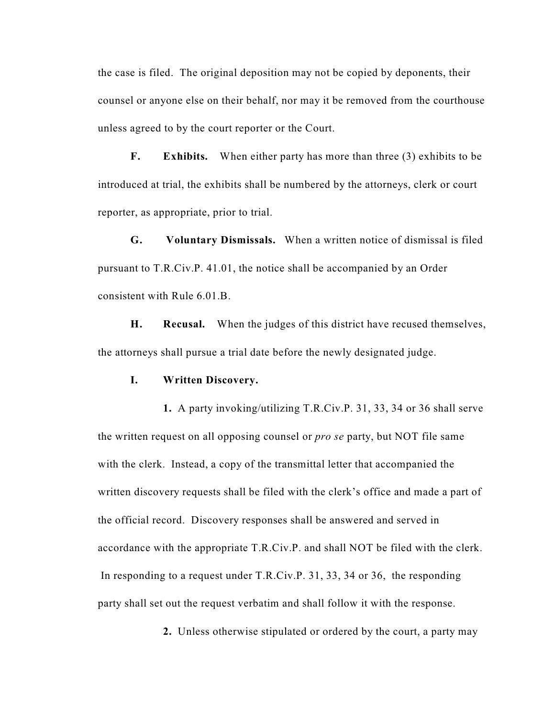the case is filed. The original deposition may not be copied by deponents, their counsel or anyone else on their behalf, nor may it be removed from the courthouse unless agreed to by the court reporter or the Court.

**F. Exhibits.** When either party has more than three (3) exhibits to be introduced at trial, the exhibits shall be numbered by the attorneys, clerk or court reporter, as appropriate, prior to trial.

**G. Voluntary Dismissals.** When a written notice of dismissal is filed pursuant to T.R.Civ.P. 41.01, the notice shall be accompanied by an Order consistent with Rule 6.01.B.

**H. Recusal.** When the judges of this district have recused themselves, the attorneys shall pursue a trial date before the newly designated judge.

#### **I. Written Discovery.**

**1.** A party invoking/utilizing T.R.Civ.P. 31, 33, 34 or 36 shall serve the written request on all opposing counsel or *pro se* party, but NOT file same with the clerk. Instead, a copy of the transmittal letter that accompanied the written discovery requests shall be filed with the clerk's office and made a part of the official record. Discovery responses shall be answered and served in accordance with the appropriate T.R.Civ.P. and shall NOT be filed with the clerk. In responding to a request under T.R.Civ.P. 31, 33, 34 or 36, the responding party shall set out the request verbatim and shall follow it with the response.

**2.** Unless otherwise stipulated or ordered by the court, a party may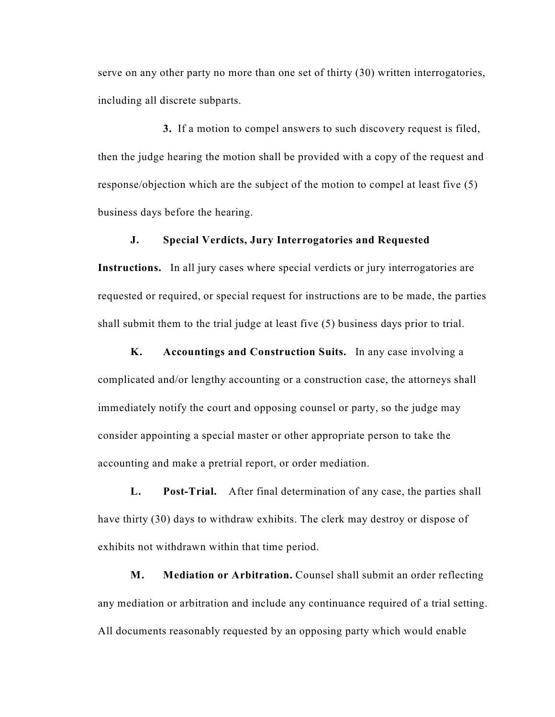serve on any other party no more than one set of thirty (30) written interrogatories, including all discrete subparts.

**3.** If a motion to compel answers to such discovery request is filed, then the judge hearing the motion shall be provided with a copy of the request and response/objection which are the subject of the motion to compel at least five (5) business days before the hearing.

### **J. Special Verdicts, Jury Interrogatories and Requested**

**Instructions.** In all jury cases where special verdicts or jury interrogatories are requested or required, or special request for instructions are to be made, the parties shall submit them to the trial judge at least five (5) business days prior to trial.

**K. Accountings and Construction Suits.** In any case involving a complicated and/or lengthy accounting or a construction case, the attorneys shall immediately notify the court and opposing counsel or party, so the judge may consider appointing a special master or other appropriate person to take the accounting and make a pretrial report, or order mediation.

**L. Post-Trial.** After final determination of any case, the parties shall have thirty (30) days to withdraw exhibits. The clerk may destroy or dispose of exhibits not withdrawn within that time period.

**M. Mediation or Arbitration.** Counsel shall submit an order reflecting any mediation or arbitration and include any continuance required of a trial setting. All documents reasonably requested by an opposing party which would enable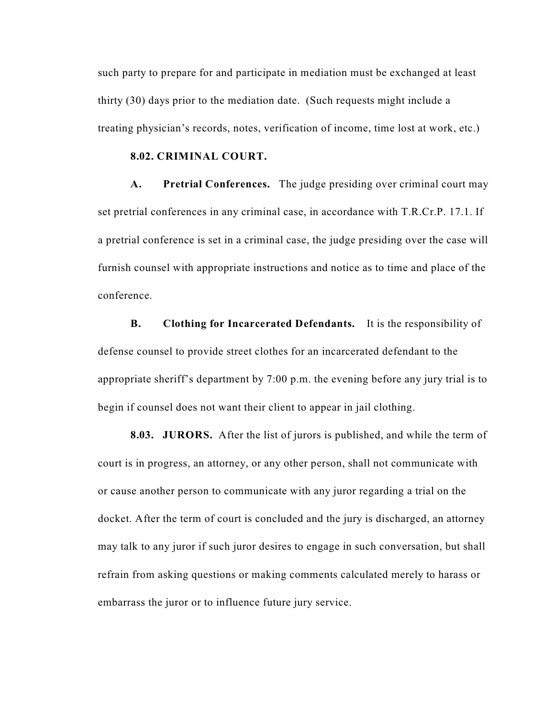such party to prepare for and participate in mediation must be exchanged at least thirty (30) days prior to the mediation date. (Such requests might include a treating physician's records, notes, verification of income, time lost at work, etc.)

### **8.02. CRIMINAL COURT.**

**A. Pretrial Conferences.** The judge presiding over criminal court may set pretrial conferences in any criminal case, in accordance with T.R.Cr.P. 17.1. If a pretrial conference is set in a criminal case, the judge presiding over the case will furnish counsel with appropriate instructions and notice as to time and place of the conference.

**B. Clothing for Incarcerated Defendants.** It is the responsibility of defense counsel to provide street clothes for an incarcerated defendant to the appropriate sheriff's department by 7:00 p.m. the evening before any jury trial is to begin if counsel does not want their client to appear in jail clothing.

**8.03. JURORS.** After the list of jurors is published, and while the term of court is in progress, an attorney, or any other person, shall not communicate with or cause another person to communicate with any juror regarding a trial on the docket. After the term of court is concluded and the jury is discharged, an attorney may talk to any juror if such juror desires to engage in such conversation, but shall refrain from asking questions or making comments calculated merely to harass or embarrass the juror or to influence future jury service.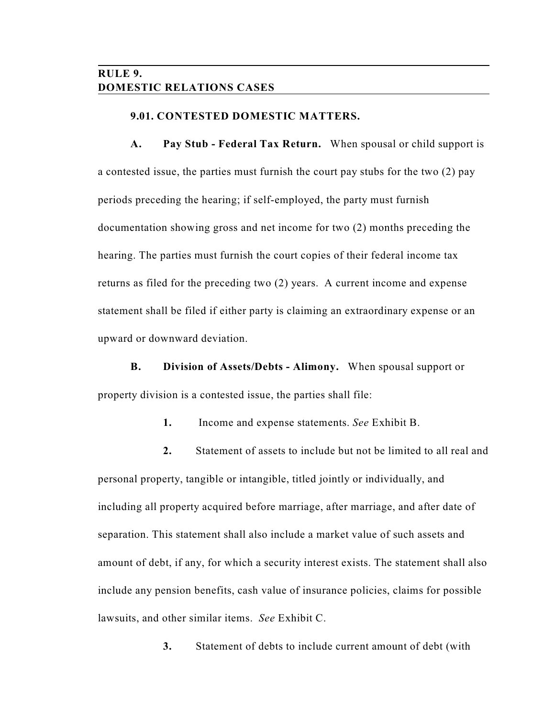# **RULE 9. DOMESTIC RELATIONS CASES**

### **9.01. CONTESTED DOMESTIC MATTERS.**

**A. Pay Stub - Federal Tax Return.** When spousal or child support is a contested issue, the parties must furnish the court pay stubs for the two (2) pay periods preceding the hearing; if self-employed, the party must furnish documentation showing gross and net income for two (2) months preceding the hearing. The parties must furnish the court copies of their federal income tax returns as filed for the preceding two (2) years. A current income and expense statement shall be filed if either party is claiming an extraordinary expense or an upward or downward deviation.

**B. Division of Assets/Debts - Alimony.** When spousal support or property division is a contested issue, the parties shall file:

**1.** Income and expense statements. *See* Exhibit B.

**2.** Statement of assets to include but not be limited to all real and personal property, tangible or intangible, titled jointly or individually, and including all property acquired before marriage, after marriage, and after date of separation. This statement shall also include a market value of such assets and amount of debt, if any, for which a security interest exists. The statement shall also include any pension benefits, cash value of insurance policies, claims for possible lawsuits, and other similar items. *See* Exhibit C.

**3.** Statement of debts to include current amount of debt (with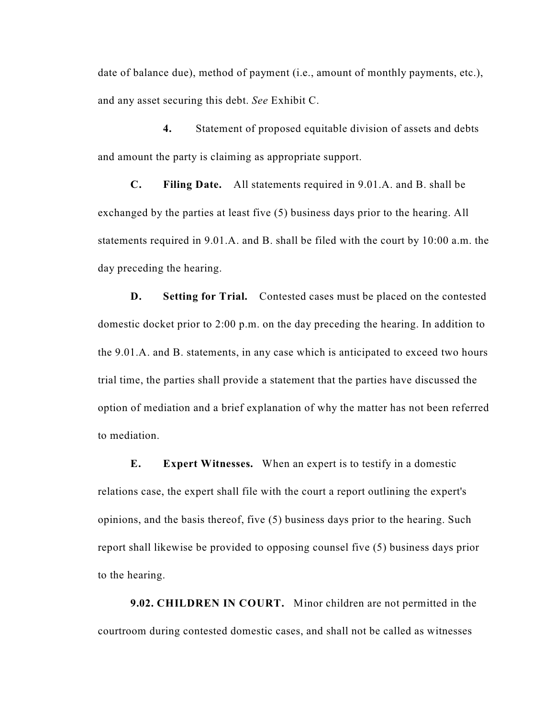date of balance due), method of payment (i.e., amount of monthly payments, etc.), and any asset securing this debt. *See* Exhibit C.

**4.** Statement of proposed equitable division of assets and debts and amount the party is claiming as appropriate support.

**C. Filing Date.** All statements required in 9.01.A. and B. shall be exchanged by the parties at least five (5) business days prior to the hearing. All statements required in 9.01.A. and B. shall be filed with the court by 10:00 a.m. the day preceding the hearing.

**D.** Setting for Trial. Contested cases must be placed on the contested domestic docket prior to 2:00 p.m. on the day preceding the hearing. In addition to the 9.01.A. and B. statements, in any case which is anticipated to exceed two hours trial time, the parties shall provide a statement that the parties have discussed the option of mediation and a brief explanation of why the matter has not been referred to mediation.

**E. Expert Witnesses.** When an expert is to testify in a domestic relations case, the expert shall file with the court a report outlining the expert's opinions, and the basis thereof, five (5) business days prior to the hearing. Such report shall likewise be provided to opposing counsel five (5) business days prior to the hearing.

**9.02. CHILDREN IN COURT.** Minor children are not permitted in the courtroom during contested domestic cases, and shall not be called as witnesses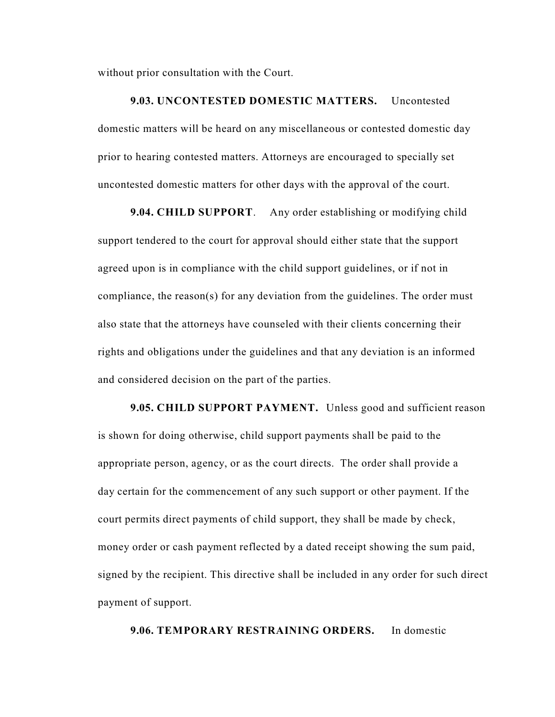without prior consultation with the Court.

**9.03. UNCONTESTED DOMESTIC MATTERS.** Uncontested domestic matters will be heard on any miscellaneous or contested domestic day prior to hearing contested matters. Attorneys are encouraged to specially set uncontested domestic matters for other days with the approval of the court.

**9.04. CHILD SUPPORT**. Any order establishing or modifying child support tendered to the court for approval should either state that the support agreed upon is in compliance with the child support guidelines, or if not in compliance, the reason(s) for any deviation from the guidelines. The order must also state that the attorneys have counseled with their clients concerning their rights and obligations under the guidelines and that any deviation is an informed and considered decision on the part of the parties.

**9.05. CHILD SUPPORT PAYMENT.** Unless good and sufficient reason is shown for doing otherwise, child support payments shall be paid to the appropriate person, agency, or as the court directs. The order shall provide a day certain for the commencement of any such support or other payment. If the court permits direct payments of child support, they shall be made by check, money order or cash payment reflected by a dated receipt showing the sum paid, signed by the recipient. This directive shall be included in any order for such direct payment of support.

### **9.06. TEMPORARY RESTRAINING ORDERS.** In domestic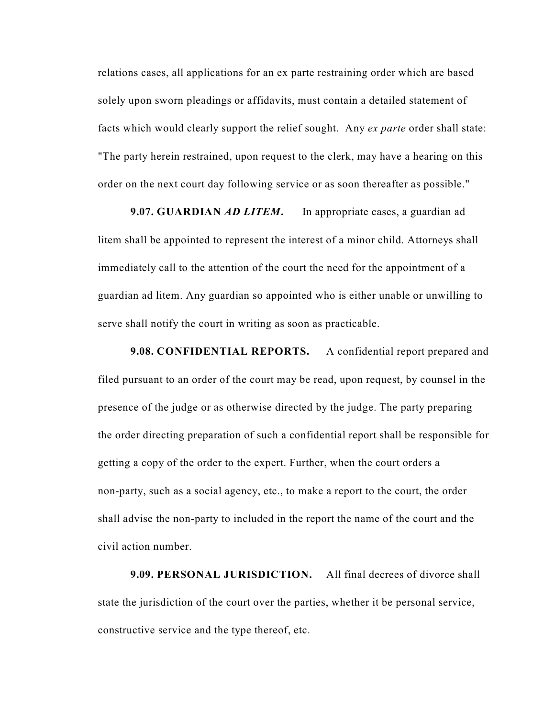relations cases, all applications for an ex parte restraining order which are based solely upon sworn pleadings or affidavits, must contain a detailed statement of facts which would clearly support the relief sought. Any *ex parte* order shall state: "The party herein restrained, upon request to the clerk, may have a hearing on this order on the next court day following service or as soon thereafter as possible."

#### **9.07. GUARDIAN** *AD LITEM***.** In appropriate cases, a guardian ad

litem shall be appointed to represent the interest of a minor child. Attorneys shall immediately call to the attention of the court the need for the appointment of a guardian ad litem. Any guardian so appointed who is either unable or unwilling to serve shall notify the court in writing as soon as practicable.

**9.08. CONFIDENTIAL REPORTS.** A confidential report prepared and filed pursuant to an order of the court may be read, upon request, by counsel in the presence of the judge or as otherwise directed by the judge. The party preparing the order directing preparation of such a confidential report shall be responsible for getting a copy of the order to the expert. Further, when the court orders a non-party, such as a social agency, etc., to make a report to the court, the order shall advise the non-party to included in the report the name of the court and the civil action number.

**9.09. PERSONAL JURISDICTION.** All final decrees of divorce shall state the jurisdiction of the court over the parties, whether it be personal service, constructive service and the type thereof, etc.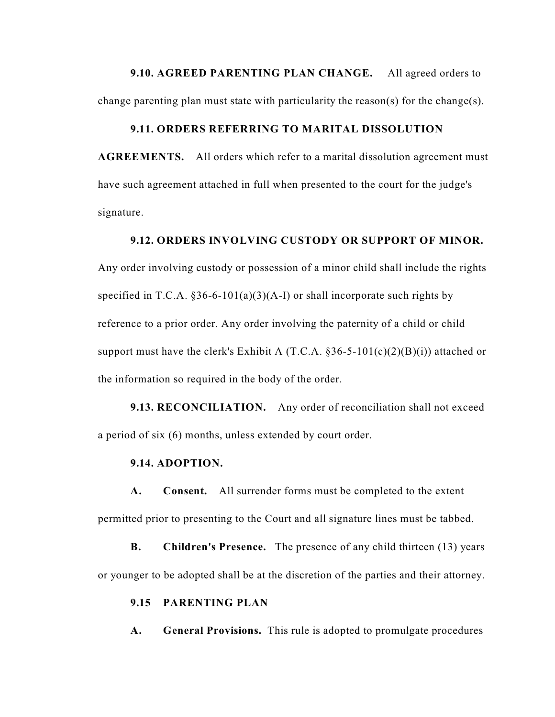**9.10. AGREED PARENTING PLAN CHANGE.** All agreed orders to change parenting plan must state with particularity the reason(s) for the change(s).

### **9.11. ORDERS REFERRING TO MARITAL DISSOLUTION**

**AGREEMENTS.** All orders which refer to a marital dissolution agreement must have such agreement attached in full when presented to the court for the judge's signature.

### **9.12. ORDERS INVOLVING CUSTODY OR SUPPORT OF MINOR.**

Any order involving custody or possession of a minor child shall include the rights specified in T.C.A.  $§36-6-101(a)(3)(A-I)$  or shall incorporate such rights by reference to a prior order. Any order involving the paternity of a child or child support must have the clerk's Exhibit A  $(T.C.A. §36-5-101(c)(2)(B)(i))$  attached or the information so required in the body of the order.

**9.13. RECONCILIATION.** Any order of reconciliation shall not exceed a period of six (6) months, unless extended by court order.

### **9.14. ADOPTION.**

**A. Consent.** All surrender forms must be completed to the extent permitted prior to presenting to the Court and all signature lines must be tabbed.

**B.** Children's Presence. The presence of any child thirteen (13) years or younger to be adopted shall be at the discretion of the parties and their attorney.

### **9.15 PARENTING PLAN**

**A. General Provisions.** This rule is adopted to promulgate procedures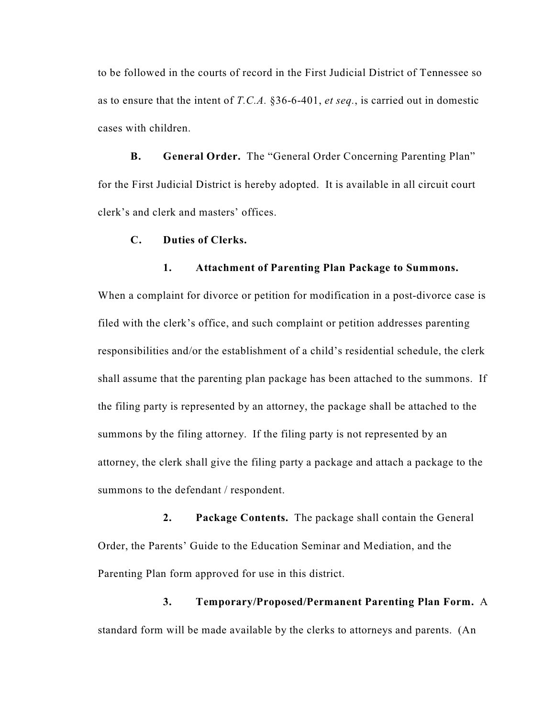to be followed in the courts of record in the First Judicial District of Tennessee so as to ensure that the intent of *T.C.A.* §36-6-401, *et seq.*, is carried out in domestic cases with children.

**B. General Order.** The "General Order Concerning Parenting Plan" for the First Judicial District is hereby adopted. It is available in all circuit court clerk's and clerk and masters' offices.

### **C. Duties of Clerks.**

#### **1. Attachment of Parenting Plan Package to Summons.**

When a complaint for divorce or petition for modification in a post-divorce case is filed with the clerk's office, and such complaint or petition addresses parenting responsibilities and/or the establishment of a child's residential schedule, the clerk shall assume that the parenting plan package has been attached to the summons. If the filing party is represented by an attorney, the package shall be attached to the summons by the filing attorney. If the filing party is not represented by an attorney, the clerk shall give the filing party a package and attach a package to the summons to the defendant / respondent.

**2. Package Contents.** The package shall contain the General Order, the Parents' Guide to the Education Seminar and Mediation, and the Parenting Plan form approved for use in this district.

**3. Temporary/Proposed/Permanent Parenting Plan Form.** A standard form will be made available by the clerks to attorneys and parents. (An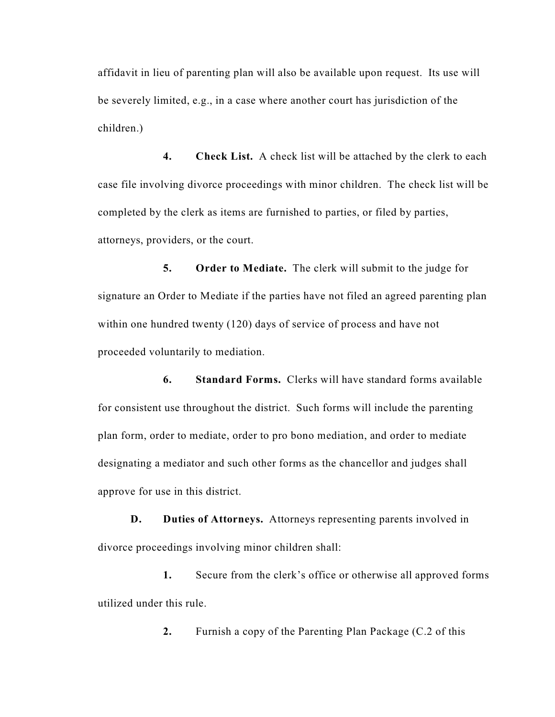affidavit in lieu of parenting plan will also be available upon request. Its use will be severely limited, e.g., in a case where another court has jurisdiction of the children.)

**4. Check List.** A check list will be attached by the clerk to each case file involving divorce proceedings with minor children. The check list will be completed by the clerk as items are furnished to parties, or filed by parties, attorneys, providers, or the court.

**5. Order to Mediate.** The clerk will submit to the judge for signature an Order to Mediate if the parties have not filed an agreed parenting plan within one hundred twenty (120) days of service of process and have not proceeded voluntarily to mediation.

**6. Standard Forms.** Clerks will have standard forms available for consistent use throughout the district. Such forms will include the parenting plan form, order to mediate, order to pro bono mediation, and order to mediate designating a mediator and such other forms as the chancellor and judges shall approve for use in this district.

**D. Duties of Attorneys.** Attorneys representing parents involved in divorce proceedings involving minor children shall:

**1.** Secure from the clerk's office or otherwise all approved forms utilized under this rule.

**2.** Furnish a copy of the Parenting Plan Package (C.2 of this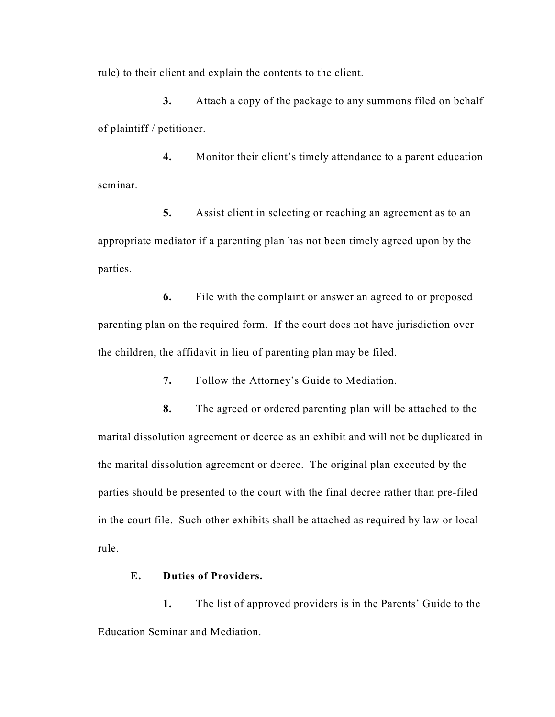rule) to their client and explain the contents to the client.

**3.** Attach a copy of the package to any summons filed on behalf of plaintiff / petitioner.

**4.** Monitor their client's timely attendance to a parent education seminar.

**5.** Assist client in selecting or reaching an agreement as to an appropriate mediator if a parenting plan has not been timely agreed upon by the parties.

**6.** File with the complaint or answer an agreed to or proposed parenting plan on the required form. If the court does not have jurisdiction over the children, the affidavit in lieu of parenting plan may be filed.

**7.** Follow the Attorney's Guide to Mediation.

**8.** The agreed or ordered parenting plan will be attached to the marital dissolution agreement or decree as an exhibit and will not be duplicated in the marital dissolution agreement or decree. The original plan executed by the parties should be presented to the court with the final decree rather than pre-filed in the court file. Such other exhibits shall be attached as required by law or local rule.

### **E. Duties of Providers.**

**1.** The list of approved providers is in the Parents' Guide to the Education Seminar and Mediation.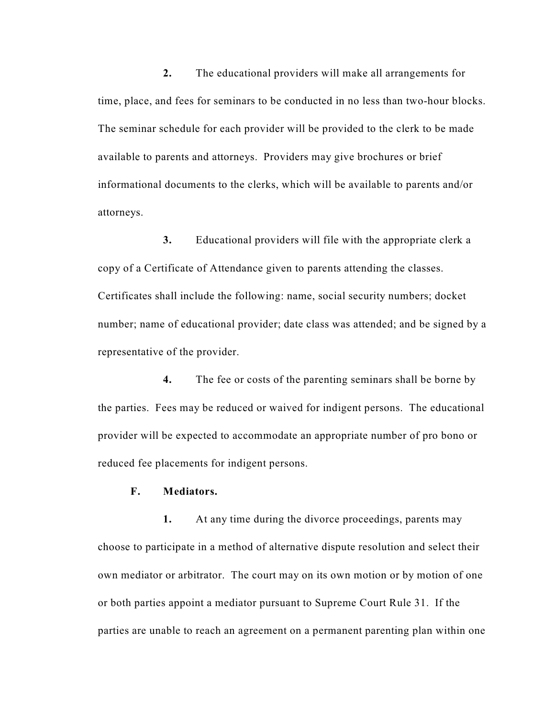**2.** The educational providers will make all arrangements for time, place, and fees for seminars to be conducted in no less than two-hour blocks. The seminar schedule for each provider will be provided to the clerk to be made available to parents and attorneys. Providers may give brochures or brief informational documents to the clerks, which will be available to parents and/or attorneys.

**3.** Educational providers will file with the appropriate clerk a copy of a Certificate of Attendance given to parents attending the classes. Certificates shall include the following: name, social security numbers; docket number; name of educational provider; date class was attended; and be signed by a representative of the provider.

**4.** The fee or costs of the parenting seminars shall be borne by the parties. Fees may be reduced or waived for indigent persons. The educational provider will be expected to accommodate an appropriate number of pro bono or reduced fee placements for indigent persons.

### **F. Mediators.**

**1.** At any time during the divorce proceedings, parents may choose to participate in a method of alternative dispute resolution and select their own mediator or arbitrator. The court may on its own motion or by motion of one or both parties appoint a mediator pursuant to Supreme Court Rule 31. If the parties are unable to reach an agreement on a permanent parenting plan within one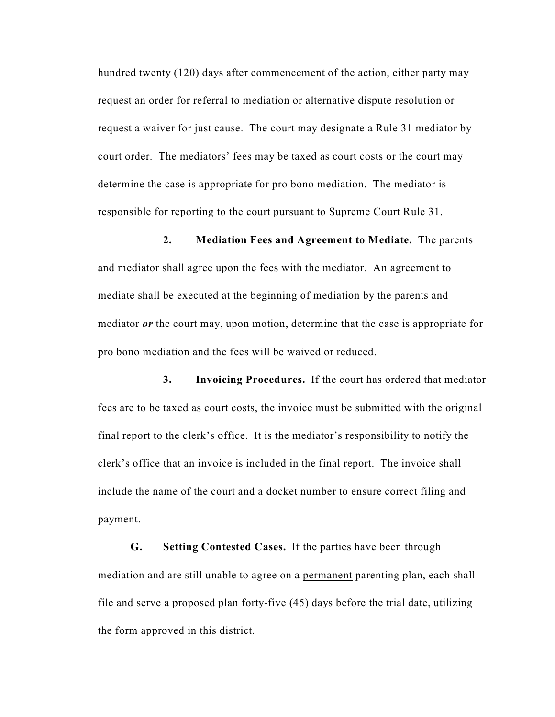hundred twenty (120) days after commencement of the action, either party may request an order for referral to mediation or alternative dispute resolution or request a waiver for just cause. The court may designate a Rule 31 mediator by court order. The mediators' fees may be taxed as court costs or the court may determine the case is appropriate for pro bono mediation. The mediator is responsible for reporting to the court pursuant to Supreme Court Rule 31.

**2. Mediation Fees and Agreement to Mediate.** The parents and mediator shall agree upon the fees with the mediator. An agreement to mediate shall be executed at the beginning of mediation by the parents and mediator *or* the court may, upon motion, determine that the case is appropriate for pro bono mediation and the fees will be waived or reduced.

**3. Invoicing Procedures.** If the court has ordered that mediator fees are to be taxed as court costs, the invoice must be submitted with the original final report to the clerk's office. It is the mediator's responsibility to notify the clerk's office that an invoice is included in the final report. The invoice shall include the name of the court and a docket number to ensure correct filing and payment.

**G. Setting Contested Cases.** If the parties have been through mediation and are still unable to agree on a permanent parenting plan, each shall file and serve a proposed plan forty-five (45) days before the trial date, utilizing the form approved in this district.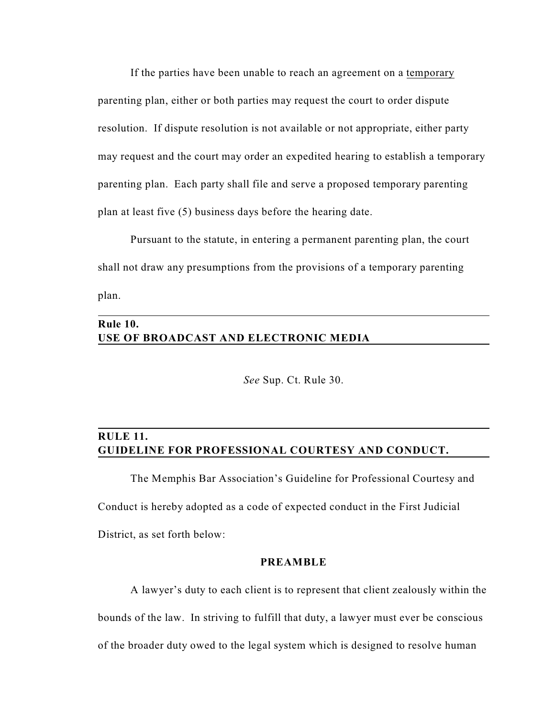If the parties have been unable to reach an agreement on a temporary parenting plan, either or both parties may request the court to order dispute resolution. If dispute resolution is not available or not appropriate, either party may request and the court may order an expedited hearing to establish a temporary parenting plan. Each party shall file and serve a proposed temporary parenting plan at least five (5) business days before the hearing date.

Pursuant to the statute, in entering a permanent parenting plan, the court shall not draw any presumptions from the provisions of a temporary parenting plan.

# **Rule 10. USE OF BROADCAST AND ELECTRONIC MEDIA**

*See* Sup. Ct. Rule 30.

# **RULE 11. GUIDELINE FOR PROFESSIONAL COURTESY AND CONDUCT.**

The Memphis Bar Association's Guideline for Professional Courtesy and Conduct is hereby adopted as a code of expected conduct in the First Judicial District, as set forth below:

### **PREAMBLE**

A lawyer's duty to each client is to represent that client zealously within the bounds of the law. In striving to fulfill that duty, a lawyer must ever be conscious of the broader duty owed to the legal system which is designed to resolve human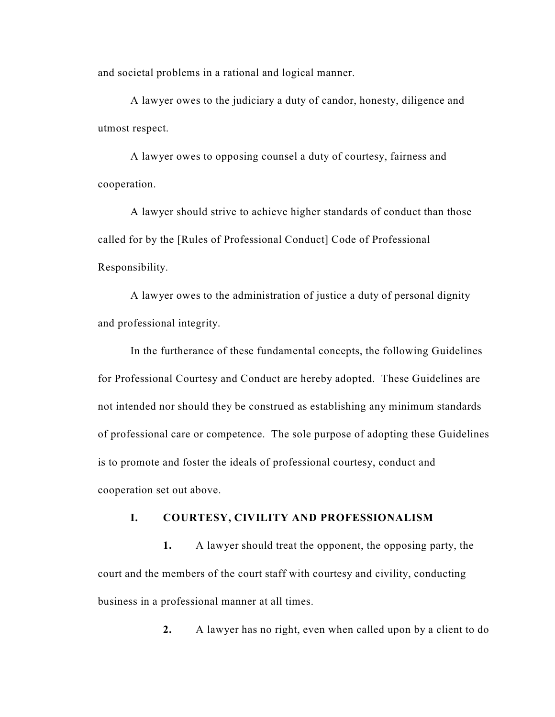and societal problems in a rational and logical manner.

A lawyer owes to the judiciary a duty of candor, honesty, diligence and utmost respect.

A lawyer owes to opposing counsel a duty of courtesy, fairness and cooperation.

A lawyer should strive to achieve higher standards of conduct than those called for by the [Rules of Professional Conduct] Code of Professional Responsibility.

A lawyer owes to the administration of justice a duty of personal dignity and professional integrity.

In the furtherance of these fundamental concepts, the following Guidelines for Professional Courtesy and Conduct are hereby adopted. These Guidelines are not intended nor should they be construed as establishing any minimum standards of professional care or competence. The sole purpose of adopting these Guidelines is to promote and foster the ideals of professional courtesy, conduct and cooperation set out above.

# **I. COURTESY, CIVILITY AND PROFESSIONALISM**

**1.** A lawyer should treat the opponent, the opposing party, the court and the members of the court staff with courtesy and civility, conducting business in a professional manner at all times.

**2.** A lawyer has no right, even when called upon by a client to do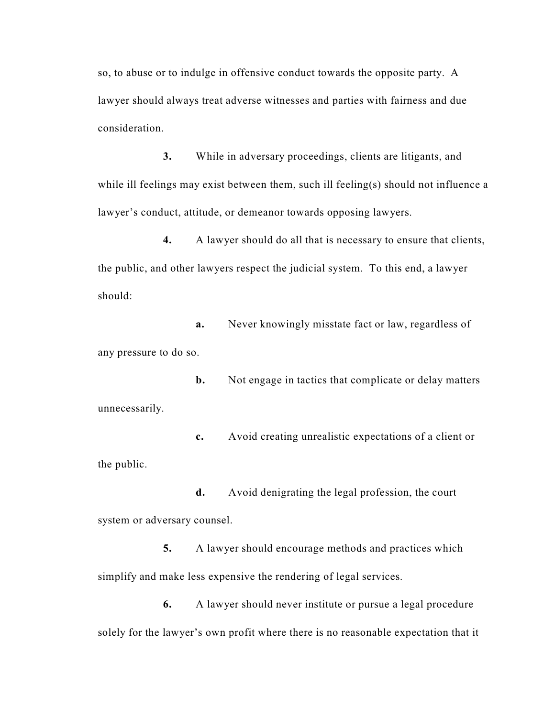so, to abuse or to indulge in offensive conduct towards the opposite party. A lawyer should always treat adverse witnesses and parties with fairness and due consideration.

**3.** While in adversary proceedings, clients are litigants, and while ill feelings may exist between them, such ill feeling(s) should not influence a lawyer's conduct, attitude, or demeanor towards opposing lawyers.

**4.** A lawyer should do all that is necessary to ensure that clients, the public, and other lawyers respect the judicial system. To this end, a lawyer should:

**a.** Never knowingly misstate fact or law, regardless of any pressure to do so.

**b.** Not engage in tactics that complicate or delay matters unnecessarily.

**c.** Avoid creating unrealistic expectations of a client or the public.

**d.** Avoid denigrating the legal profession, the court system or adversary counsel.

**5.** A lawyer should encourage methods and practices which simplify and make less expensive the rendering of legal services.

**6.** A lawyer should never institute or pursue a legal procedure solely for the lawyer's own profit where there is no reasonable expectation that it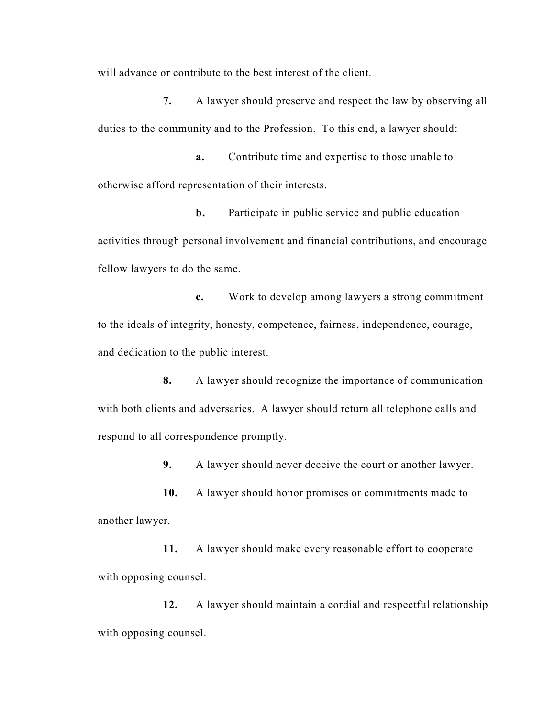will advance or contribute to the best interest of the client.

**7.** A lawyer should preserve and respect the law by observing all duties to the community and to the Profession. To this end, a lawyer should:

**a.** Contribute time and expertise to those unable to otherwise afford representation of their interests.

**b.** Participate in public service and public education activities through personal involvement and financial contributions, and encourage fellow lawyers to do the same.

**c.** Work to develop among lawyers a strong commitment to the ideals of integrity, honesty, competence, fairness, independence, courage, and dedication to the public interest.

**8.** A lawyer should recognize the importance of communication with both clients and adversaries. A lawyer should return all telephone calls and respond to all correspondence promptly.

**9.** A lawyer should never deceive the court or another lawyer.

**10.** A lawyer should honor promises or commitments made to another lawyer.

**11.** A lawyer should make every reasonable effort to cooperate with opposing counsel.

**12.** A lawyer should maintain a cordial and respectful relationship with opposing counsel.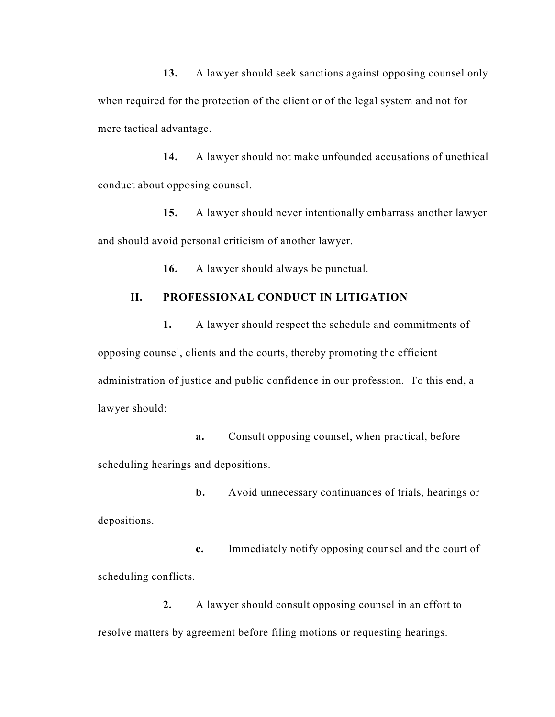**13.** A lawyer should seek sanctions against opposing counsel only when required for the protection of the client or of the legal system and not for mere tactical advantage.

**14.** A lawyer should not make unfounded accusations of unethical conduct about opposing counsel.

**15.** A lawyer should never intentionally embarrass another lawyer and should avoid personal criticism of another lawyer.

**16.** A lawyer should always be punctual.

# **II. PROFESSIONAL CONDUCT IN LITIGATION**

**1.** A lawyer should respect the schedule and commitments of opposing counsel, clients and the courts, thereby promoting the efficient administration of justice and public confidence in our profession. To this end, a lawyer should:

**a.** Consult opposing counsel, when practical, before scheduling hearings and depositions.

**b.** Avoid unnecessary continuances of trials, hearings or depositions.

**c.** Immediately notify opposing counsel and the court of scheduling conflicts.

**2.** A lawyer should consult opposing counsel in an effort to resolve matters by agreement before filing motions or requesting hearings.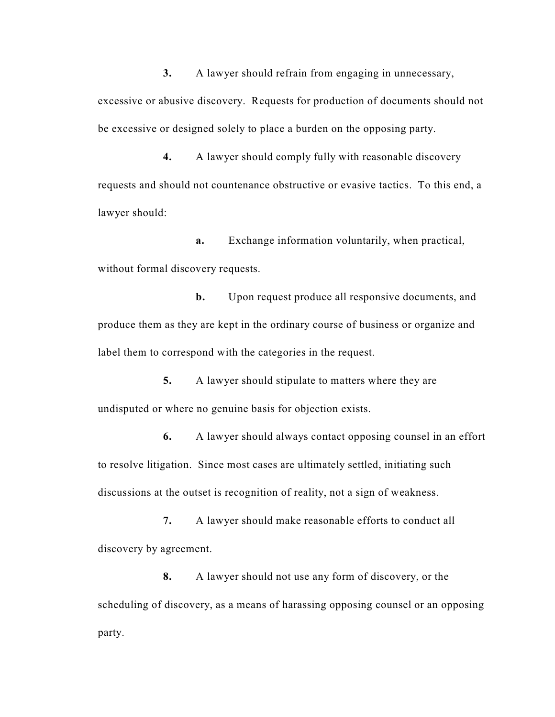**3.** A lawyer should refrain from engaging in unnecessary, excessive or abusive discovery. Requests for production of documents should not be excessive or designed solely to place a burden on the opposing party.

**4.** A lawyer should comply fully with reasonable discovery requests and should not countenance obstructive or evasive tactics. To this end, a lawyer should:

**a.** Exchange information voluntarily, when practical, without formal discovery requests.

**b.** Upon request produce all responsive documents, and produce them as they are kept in the ordinary course of business or organize and label them to correspond with the categories in the request.

**5.** A lawyer should stipulate to matters where they are undisputed or where no genuine basis for objection exists.

**6.** A lawyer should always contact opposing counsel in an effort to resolve litigation. Since most cases are ultimately settled, initiating such discussions at the outset is recognition of reality, not a sign of weakness.

**7.** A lawyer should make reasonable efforts to conduct all discovery by agreement.

**8.** A lawyer should not use any form of discovery, or the scheduling of discovery, as a means of harassing opposing counsel or an opposing party.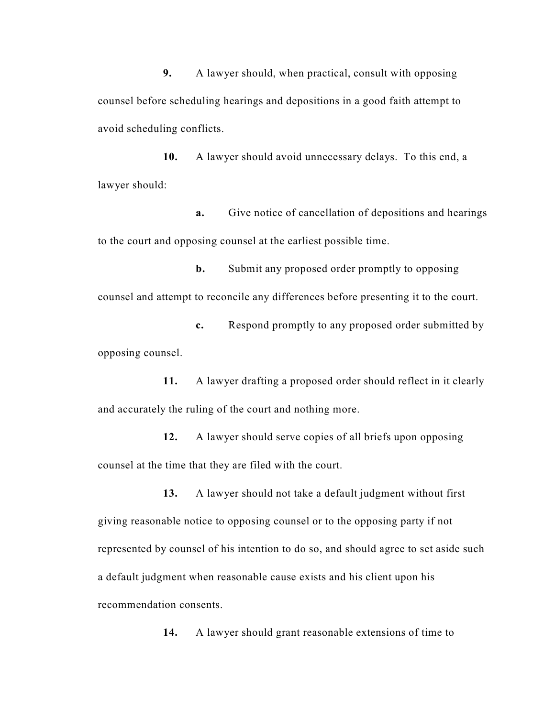**9.** A lawyer should, when practical, consult with opposing counsel before scheduling hearings and depositions in a good faith attempt to avoid scheduling conflicts.

**10.** A lawyer should avoid unnecessary delays. To this end, a lawyer should:

**a.** Give notice of cancellation of depositions and hearings to the court and opposing counsel at the earliest possible time.

**b.** Submit any proposed order promptly to opposing counsel and attempt to reconcile any differences before presenting it to the court.

**c.** Respond promptly to any proposed order submitted by opposing counsel.

**11.** A lawyer drafting a proposed order should reflect in it clearly and accurately the ruling of the court and nothing more.

**12.** A lawyer should serve copies of all briefs upon opposing counsel at the time that they are filed with the court.

**13.** A lawyer should not take a default judgment without first giving reasonable notice to opposing counsel or to the opposing party if not represented by counsel of his intention to do so, and should agree to set aside such a default judgment when reasonable cause exists and his client upon his recommendation consents.

**14.** A lawyer should grant reasonable extensions of time to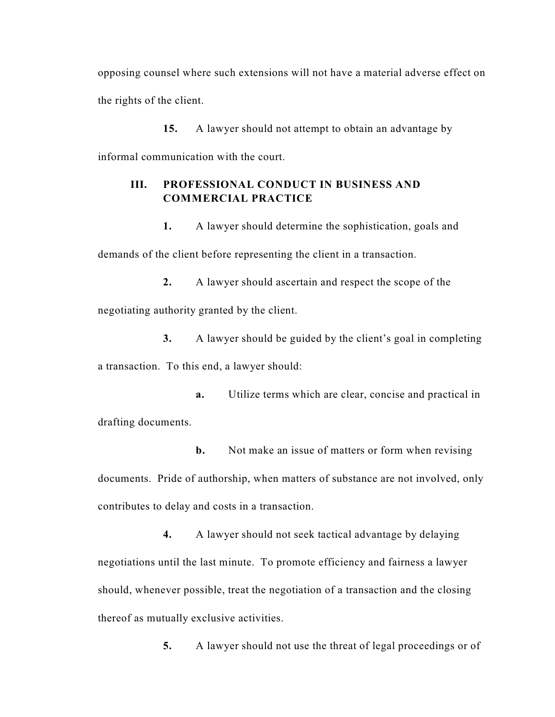opposing counsel where such extensions will not have a material adverse effect on the rights of the client.

**15.** A lawyer should not attempt to obtain an advantage by informal communication with the court.

# **III. PROFESSIONAL CONDUCT IN BUSINESS AND COMMERCIAL PRACTICE**

**1.** A lawyer should determine the sophistication, goals and demands of the client before representing the client in a transaction.

**2.** A lawyer should ascertain and respect the scope of the negotiating authority granted by the client.

**3.** A lawyer should be guided by the client's goal in completing a transaction. To this end, a lawyer should:

**a.** Utilize terms which are clear, concise and practical in drafting documents.

**b.** Not make an issue of matters or form when revising documents. Pride of authorship, when matters of substance are not involved, only contributes to delay and costs in a transaction.

**4.** A lawyer should not seek tactical advantage by delaying negotiations until the last minute. To promote efficiency and fairness a lawyer should, whenever possible, treat the negotiation of a transaction and the closing thereof as mutually exclusive activities.

**5.** A lawyer should not use the threat of legal proceedings or of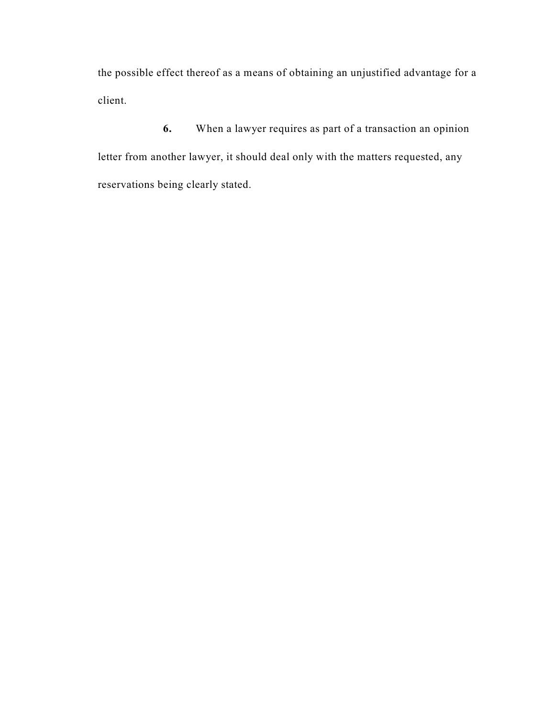the possible effect thereof as a means of obtaining an unjustified advantage for a client.

**6.** When a lawyer requires as part of a transaction an opinion letter from another lawyer, it should deal only with the matters requested, any reservations being clearly stated.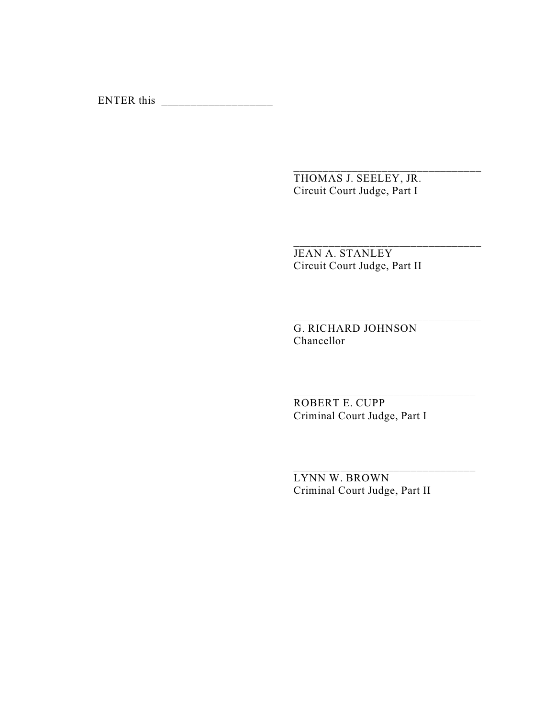ENTER this  $\frac{1}{2}$ 

THOMAS J. SEELEY, JR. Circuit Court Judge, Part I

\_\_\_\_\_\_\_\_\_\_\_\_\_\_\_\_\_\_\_\_\_\_\_\_\_\_\_\_\_\_\_\_

\_\_\_\_\_\_\_\_\_\_\_\_\_\_\_\_\_\_\_\_\_\_\_\_\_\_\_\_\_\_\_\_

\_\_\_\_\_\_\_\_\_\_\_\_\_\_\_\_\_\_\_\_\_\_\_\_\_\_\_\_\_\_\_\_

JEAN A. STANLEY Circuit Court Judge, Part II

G. RICHARD JOHNSON Chancellor

ROBERT E. CUPP Criminal Court Judge, Part I

LYNN W. BROWN Criminal Court Judge, Part II

\_\_\_\_\_\_\_\_\_\_\_\_\_\_\_\_\_\_\_\_\_\_\_\_\_\_\_\_\_\_\_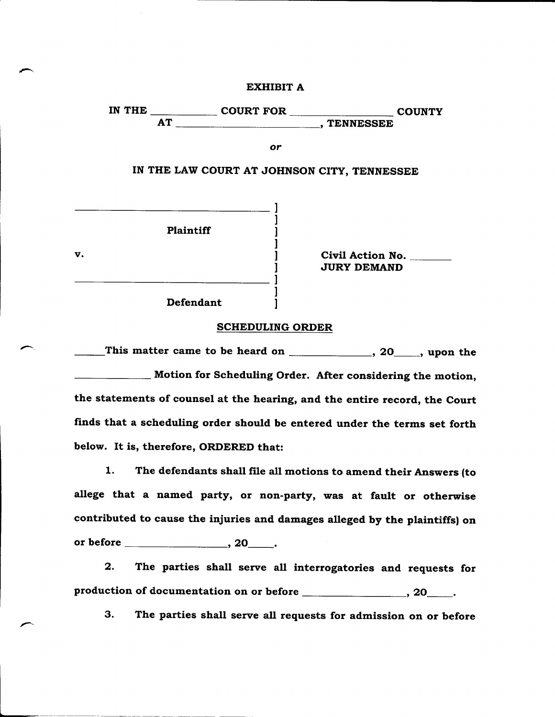**EXHIBIT A**

IN THE COURT FOR COUNTY AT RESERVIEW RESERVIEW RESERVIEW RESERVIEW RESERVIEW RESERVIEW RESERVIEW RESERVIEW RESERVIEW RESERVIEW RESERVIEW **or IN THE LAW COURT AT JOHNSON CITY, TENNESSEE Plaintiff**

**Defendant**

v. **Civil Action No. JURY DEMAND**

#### **SCHEDULING ORDER**

This matter came to be heard on \_\_\_\_\_\_\_\_\_\_\_\_\_, 20\_\_\_\_, upon the **Motion for Scheduling Order. After considering the motion, the statements of counsel at the hearing, and the entire record, the Court finds that a scheduling order should be entered under the terms set forth below. It is, therefore, ORDERED that:**

**1. The defendants shall file all motions to amend their Answers (to allege that a named party, or non-party, was at fault or otherwise contributed to cause the injuries and damages alleged by the plaintiffs) on or before , 20 .**

**2. The parties shall serve all interrogatories and requests for** production of documentation on or before *\_\_\_\_\_\_\_\_\_\_\_\_\_\_\_\_\_\_\_***, 20** \_\_\_\_\_.

**3. The parties shall serve all requests for admission on or before**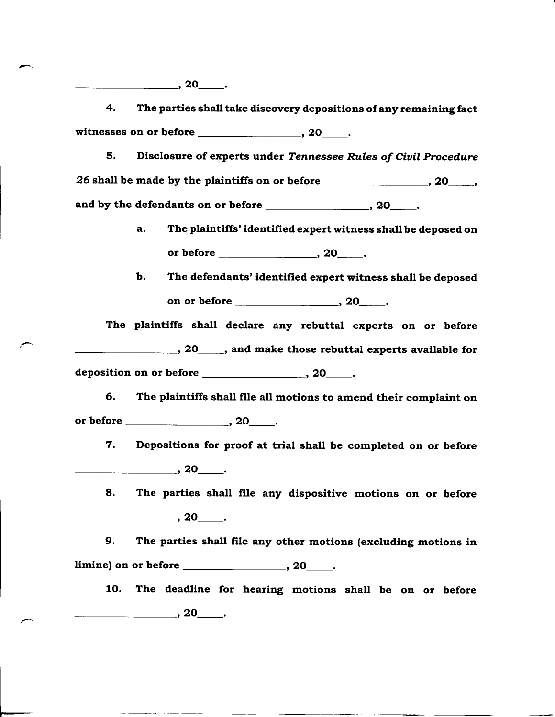**4. The parties shall take discovery depositions of any remaining fact witnesses on or before , 20 .**

**5. Disclosure of experts under** *Tennessee Rules of Civil Procedure 26* **shall be made by the plaintiffs on or before , 20 ,** and by the defendants on or before **contained**, 20 ...

- **a. The plaintiffs' identified expert witness shall be deposed on or before , 20 .**
- **b. The defendants' identified expert witness shall be deposed** on or before <u>equal to the set of  $\sim$  20  $\sim$ .</u>

**The plaintiffs shall declare any rebuttal experts on or before**

**, 20 , and make those rebuttal experts available for**

deposition on or before \_\_\_\_\_\_\_\_\_\_\_\_\_\_\_\_\_\_\_\_\_\_\_, 20\_\_\_\_\_\_.

**6. The plaintiffs shall file all motions to amend their complaint on or before , 2O .**

**7. Depositions for proof at trial shall be completed on or before , 20 .**

**8. The parties shall file any dispositive motions on or before , 20 .**

**9. The parties shall file any other motions (excluding motions in limine) on or before , 2O .**

**10. The deadline for hearing motions shall be on or before , 20** ...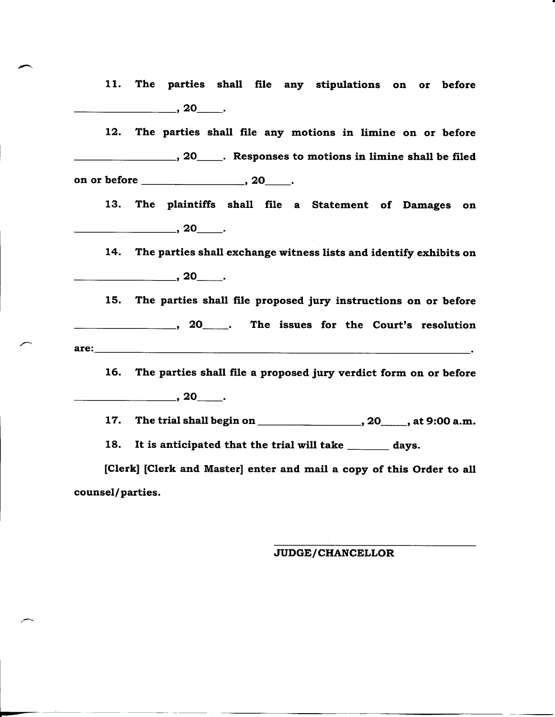**11. The parties shall file any stipulations on or before , 20** ...

**12. The parties shall file any motions in limine on or before 120 heating constant Constant Constant Constant Constant Constant Constant Constant Constant Constant Constant Constant Constant Constant Constant Constant Constant Constant Constant Constant Constant Constant Constant on or before that the contract of the contract of the contract of the contract of the contract of the contract o** 

**13. The plaintiffs shall file a Statement of Damages on , 20 .**

**14. The parties shall exchange witness lists and identify exhibits on , 20** ...

**15. The parties shall file proposed jury instructions on or before 120 120 h 20 h The issues for the Court's resolution are:**

**16. The parties shall file a proposed jury verdict form on or before , 20 .**

17. The trial shall begin on \_\_\_\_\_\_\_\_\_\_\_\_\_\_\_\_\_\_\_\_\_\_, 20\_\_\_\_\_, at 9:00 a.m.

18. It is anticipated that the trial will take \_\_\_\_\_\_\_ days.

**[Clerk] [Clerk and Master] enter and mail a copy of this Order to all counsel/parties.**

#### **JUDGE/CHANCELLOR**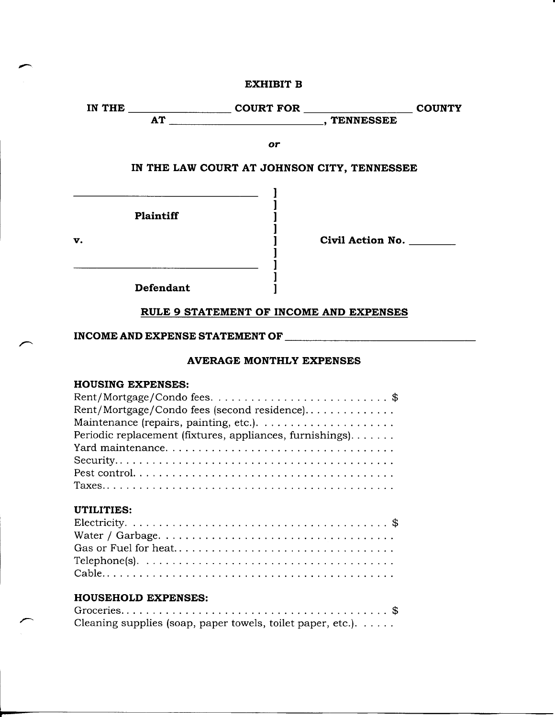| <b>COURT FOR</b> | <b>COUNTY</b> |
|------------------|---------------|
| <b>TENNESSEE</b> |               |
|                  |               |
| or               |               |
|                  |               |

# **IN THE LAW COURT AT JOHNSON CITY, TENNESSEE**

|    | Plaintiff |  |
|----|-----------|--|
| v. |           |  |
|    |           |  |
|    |           |  |
|    | Defendant |  |

**v. Civil Action No.**

# **RULE 9 STATEMENT OF INCOME AND EXPENSES**

# **INCOME AND EXPENSE STATEMENT OF**

## **AVERAGE MONTHLY EXPENSES**

# **HOUSING EXPENSES:**

| Rent/Mortgage/Condo fees (second residence)                                                         |
|-----------------------------------------------------------------------------------------------------|
|                                                                                                     |
| Periodic replacement (fixtures, appliances, furnishings).                                           |
|                                                                                                     |
|                                                                                                     |
|                                                                                                     |
|                                                                                                     |
|                                                                                                     |
| UTILITIES:                                                                                          |
|                                                                                                     |
|                                                                                                     |
|                                                                                                     |
| Telephone(s). $\dots \dots \dots \dots \dots \dots \dots \dots \dots \dots \dots \dots \dots \dots$ |
|                                                                                                     |
|                                                                                                     |
| <b>HOUSEHOLD EXPENSES:</b>                                                                          |

# Groceries \$

| Cleaning supplies (soap, paper towels, toilet paper, etc.). |  |  |
|-------------------------------------------------------------|--|--|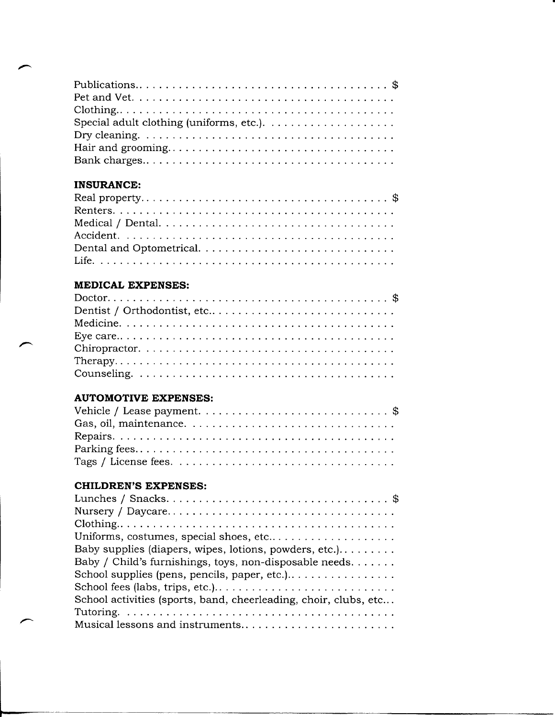| Dry cleaning. $\dots \dots \dots \dots \dots \dots \dots \dots \dots \dots \dots \dots \dots$ |  |
|-----------------------------------------------------------------------------------------------|--|
|                                                                                               |  |
|                                                                                               |  |

# **INSURANCE:**

# **MEDICAL EXPENSES:**

# **AUTOMOTIVE EXPENSES:**

# **CHILDREN'S EXPENSES:**

| Uniforms, costumes, special shoes, etc                           |
|------------------------------------------------------------------|
| Baby supplies (diapers, wipes, lotions, powders, etc.).          |
| Baby / Child's furnishings, toys, non-disposable needs.          |
| School supplies (pens, pencils, paper, etc.)                     |
| School fees (labs, trips, etc.)                                  |
| School activities (sports, band, cheerleading, choir, clubs, etc |
|                                                                  |
| Musical lessons and instruments                                  |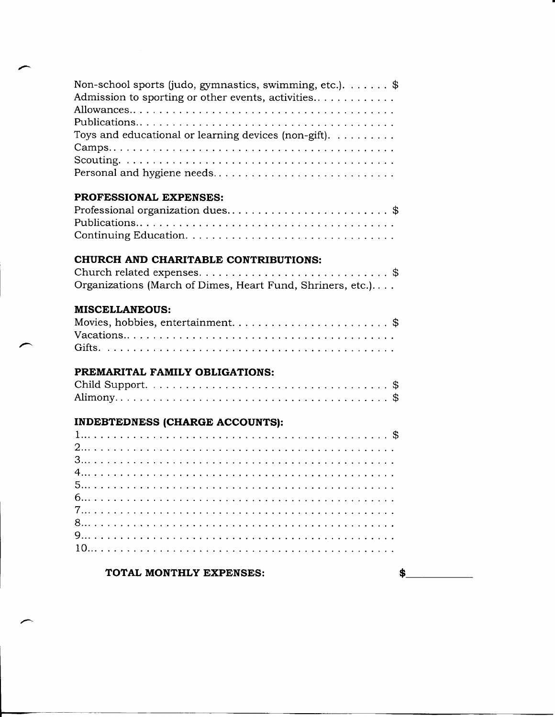| Non-school sports (judo, gymnastics, swimming, etc.). $\dots$ . $\$<br>Admission to sporting or other events, activities<br>Toys and educational or learning devices (non-gift). $\dots \dots$<br>Personal and hygiene needs |
|------------------------------------------------------------------------------------------------------------------------------------------------------------------------------------------------------------------------------|
| PROFESSIONAL EXPENSES:                                                                                                                                                                                                       |
| Professional organization dues\$                                                                                                                                                                                             |
|                                                                                                                                                                                                                              |
|                                                                                                                                                                                                                              |
| CHURCH AND CHARITABLE CONTRIBUTIONS:                                                                                                                                                                                         |
|                                                                                                                                                                                                                              |
| Organizations (March of Dimes, Heart Fund, Shriners, etc.)                                                                                                                                                                   |
| <b>MISCELLANEOUS:</b>                                                                                                                                                                                                        |
| Movies, hobbies, entertainment\$                                                                                                                                                                                             |
|                                                                                                                                                                                                                              |
|                                                                                                                                                                                                                              |
| PREMARITAL FAMILY OBLIGATIONS:                                                                                                                                                                                               |
|                                                                                                                                                                                                                              |
|                                                                                                                                                                                                                              |
| <b>INDEBTEDNESS (CHARGE ACCOUNTS):</b>                                                                                                                                                                                       |
|                                                                                                                                                                                                                              |
|                                                                                                                                                                                                                              |
|                                                                                                                                                                                                                              |
|                                                                                                                                                                                                                              |
|                                                                                                                                                                                                                              |
|                                                                                                                                                                                                                              |
|                                                                                                                                                                                                                              |
|                                                                                                                                                                                                                              |
|                                                                                                                                                                                                                              |
|                                                                                                                                                                                                                              |

# TOTAL MONTHLY EXPENSES:  $\frac{1}{2}$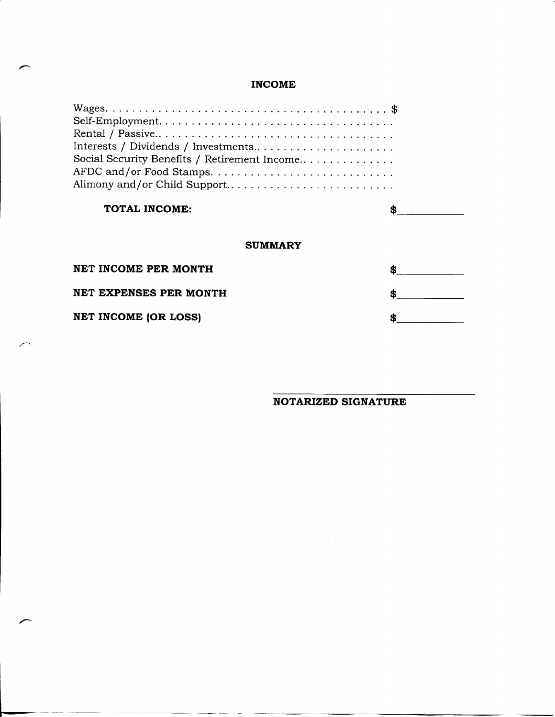# **INCOME**

| Interests / Dividends / Investments          |    |  |  |  |  |  |  |  |  |  |
|----------------------------------------------|----|--|--|--|--|--|--|--|--|--|
| Social Security Benefits / Retirement Income |    |  |  |  |  |  |  |  |  |  |
|                                              |    |  |  |  |  |  |  |  |  |  |
| Alimony and/or Child Support                 |    |  |  |  |  |  |  |  |  |  |
|                                              |    |  |  |  |  |  |  |  |  |  |
| TOTAL INCOME:                                |    |  |  |  |  |  |  |  |  |  |
|                                              |    |  |  |  |  |  |  |  |  |  |
| <b>SUMMARY</b>                               |    |  |  |  |  |  |  |  |  |  |
| NET INCOME PER MONTH                         | \$ |  |  |  |  |  |  |  |  |  |
| NET EXPENSES PER MONTH                       | \$ |  |  |  |  |  |  |  |  |  |
|                                              |    |  |  |  |  |  |  |  |  |  |
| <b>NET INCOME (OR LOSS)</b>                  | \$ |  |  |  |  |  |  |  |  |  |

**NOTARIZED SIGNATURE**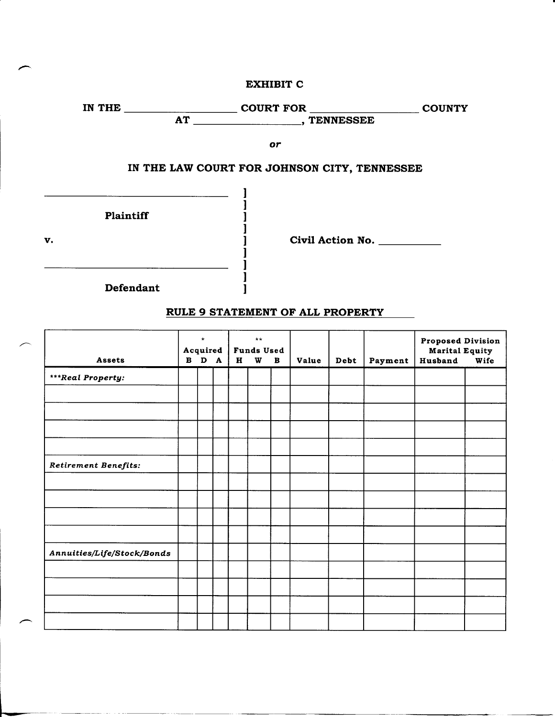#### EXHIBIT C



# RULE 9 STATEMENT OF ALL PROPERTY

| Assets                     |  | $\star$<br>Acquired<br>B D A |  |  | $***$<br><b>Funds Used</b><br>W | в | Value | Debt | Payment | <b>Proposed Division</b><br><b>Marital Equity</b><br>Husband<br>Wife |  |
|----------------------------|--|------------------------------|--|--|---------------------------------|---|-------|------|---------|----------------------------------------------------------------------|--|
| ***Real Property:          |  |                              |  |  |                                 |   |       |      |         |                                                                      |  |
|                            |  |                              |  |  |                                 |   |       |      |         |                                                                      |  |
|                            |  |                              |  |  |                                 |   |       |      |         |                                                                      |  |
|                            |  |                              |  |  |                                 |   |       |      |         |                                                                      |  |
|                            |  |                              |  |  |                                 |   |       |      |         |                                                                      |  |
| Retirement Benefits:       |  |                              |  |  |                                 |   |       |      |         |                                                                      |  |
|                            |  |                              |  |  |                                 |   |       |      |         |                                                                      |  |
|                            |  |                              |  |  |                                 |   |       |      |         |                                                                      |  |
|                            |  |                              |  |  |                                 |   |       |      |         |                                                                      |  |
|                            |  |                              |  |  |                                 |   |       |      |         |                                                                      |  |
| Annuities/Life/Stock/Bonds |  |                              |  |  |                                 |   |       |      |         |                                                                      |  |
|                            |  |                              |  |  |                                 |   |       |      |         |                                                                      |  |
|                            |  |                              |  |  |                                 |   |       |      |         |                                                                      |  |
|                            |  |                              |  |  |                                 |   |       |      |         |                                                                      |  |
|                            |  |                              |  |  |                                 |   |       |      |         |                                                                      |  |